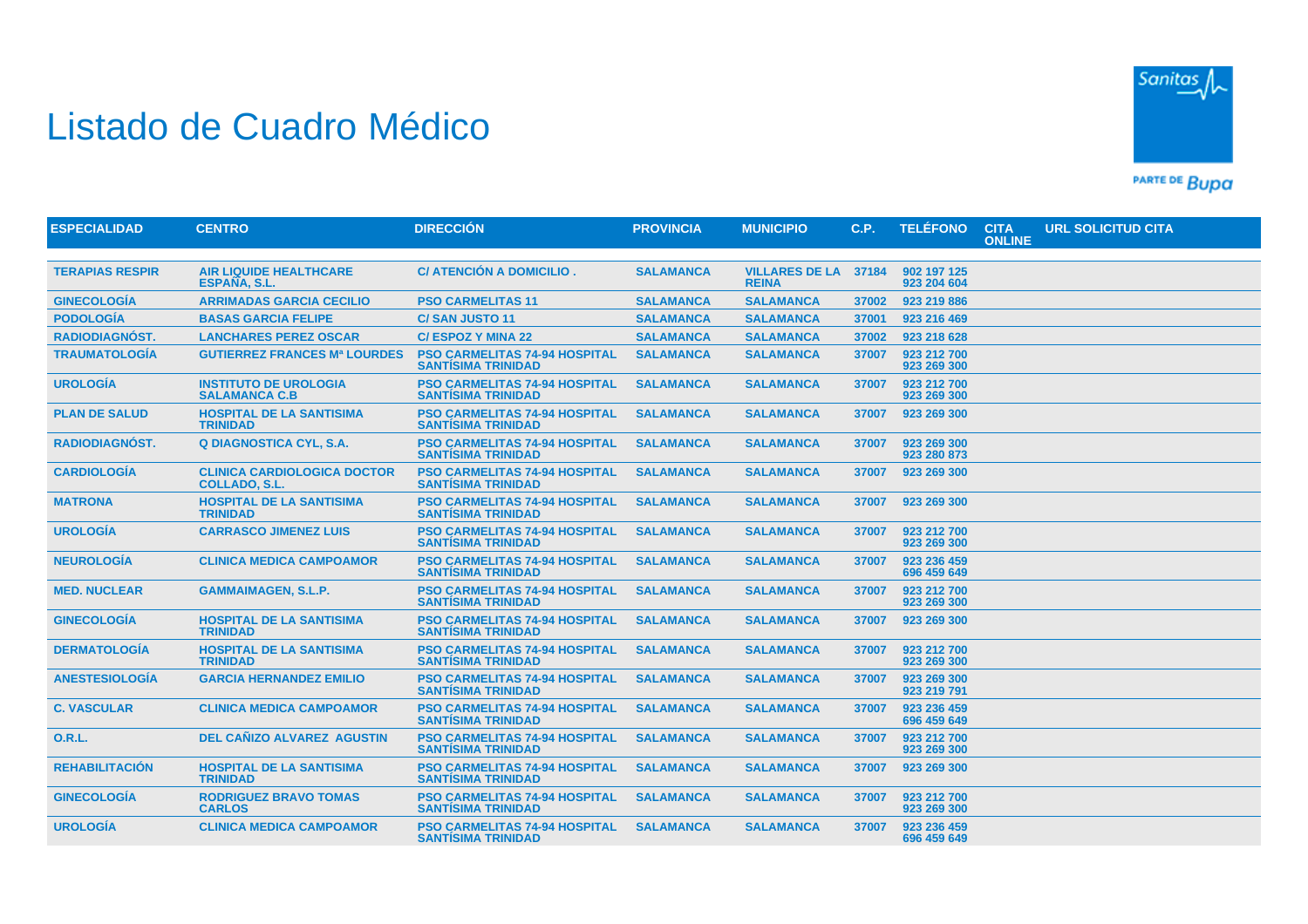## Listado de Cuadro Médico



PARTE DE BUDA

| <b>ESPECIALIDAD</b>    | <b>CENTRO</b>                                              | <b>DIRECCIÓN</b>                                                  | <b>PROVINCIA</b> | <b>MUNICIPIO</b>                      | C.P.  | <b>TELÉFONO</b>            | <b>CITA</b><br><b>ONLINE</b> | <b>URL SOLICITUD CITA</b> |
|------------------------|------------------------------------------------------------|-------------------------------------------------------------------|------------------|---------------------------------------|-------|----------------------------|------------------------------|---------------------------|
|                        |                                                            |                                                                   |                  |                                       |       |                            |                              |                           |
| <b>TERAPIAS RESPIR</b> | <b>AIR LIQUIDE HEALTHCARE</b><br>ESPAÑA, S.L.              | C/ ATENCIÓN A DOMICILIO.                                          | <b>SALAMANCA</b> | <b>VILLARES DE LA</b><br><b>REINA</b> | 37184 | 902 197 125<br>923 204 604 |                              |                           |
| <b>GINECOLOGÍA</b>     | <b>ARRIMADAS GARCIA CECILIO</b>                            | <b>PSO CARMELITAS 11</b>                                          | <b>SALAMANCA</b> | <b>SALAMANCA</b>                      | 37002 | 923 219 886                |                              |                           |
| <b>PODOLOGÍA</b>       | <b>BASAS GARCIA FELIPE</b>                                 | <b>C/SAN JUSTO 11</b>                                             | <b>SALAMANCA</b> | <b>SALAMANCA</b>                      | 37001 | 923 216 469                |                              |                           |
| <b>RADIODIAGNÓST.</b>  | <b>LANCHARES PEREZ OSCAR</b>                               | <b>C/ESPOZ Y MINA 22</b>                                          | <b>SALAMANCA</b> | <b>SALAMANCA</b>                      | 37002 | 923 218 628                |                              |                           |
| <b>TRAUMATOLOGÍA</b>   | <b>GUTIERREZ FRANCES Mª LOURDES</b>                        | <b>PSO CARMELITAS 74-94 HOSPITAL</b><br><b>SANTISIMA TRINIDAD</b> | <b>SALAMANCA</b> | <b>SALAMANCA</b>                      | 37007 | 923 212 700<br>923 269 300 |                              |                           |
| <b>UROLOGÍA</b>        | <b>INSTITUTO DE UROLOGIA</b><br><b>SALAMANCA C.B.</b>      | <b>PSO CARMELITAS 74-94 HOSPITAL</b><br><b>SANTÍSIMA TRINIDAD</b> | <b>SALAMANCA</b> | <b>SALAMANCA</b>                      | 37007 | 923 212 700<br>923 269 300 |                              |                           |
| <b>PLAN DE SALUD</b>   | <b>HOSPITAL DE LA SANTISIMA</b><br><b>TRINIDAD</b>         | <b>PSO CARMELITAS 74-94 HOSPITAL</b><br><b>SANTISIMA TRINIDAD</b> | <b>SALAMANCA</b> | <b>SALAMANCA</b>                      | 37007 | 923 269 300                |                              |                           |
| <b>RADIODIAGNÓST.</b>  | <b>Q DIAGNOSTICA CYL, S.A.</b>                             | PSO CARMELITAS 74-94 HOSPITAL<br><b>SANTÍSIMA TRINIDAD</b>        | <b>SALAMANCA</b> | <b>SALAMANCA</b>                      | 37007 | 923 269 300<br>923 280 873 |                              |                           |
| <b>CARDIOLOGÍA</b>     | <b>CLINICA CARDIOLOGICA DOCTOR</b><br><b>COLLADO, S.L.</b> | <b>PSO CARMELITAS 74-94 HOSPITAL</b><br><b>SANTÍSIMA TRINIDAD</b> | <b>SALAMANCA</b> | <b>SALAMANCA</b>                      | 37007 | 923 269 300                |                              |                           |
| <b>MATRONA</b>         | <b>HOSPITAL DE LA SANTISIMA</b><br><b>TRINIDAD</b>         | <b>PSO CARMELITAS 74-94 HOSPITAL</b><br><b>SANTISIMA TRINIDAD</b> | <b>SALAMANCA</b> | <b>SALAMANCA</b>                      | 37007 | 923 269 300                |                              |                           |
| <b>UROLOGÍA</b>        | <b>CARRASCO JIMENEZ LUIS</b>                               | <b>PSO CARMELITAS 74-94 HOSPITAL</b><br><b>SANTÍSIMA TRINIDAD</b> | <b>SALAMANCA</b> | <b>SALAMANCA</b>                      | 37007 | 923 212 700<br>923 269 300 |                              |                           |
| <b>NEUROLOGIA</b>      | <b>CLINICA MEDICA CAMPOAMOR</b>                            | <b>PSO CARMELITAS 74-94 HOSPITAL</b><br><b>SANTÍSIMA TRINIDAD</b> | <b>SALAMANCA</b> | <b>SALAMANCA</b>                      | 37007 | 923 236 459<br>696 459 649 |                              |                           |
| <b>MED. NUCLEAR</b>    | <b>GAMMAIMAGEN, S.L.P.</b>                                 | <b>PSO CARMELITAS 74-94 HOSPITAL</b><br><b>SANTÍSIMA TRINIDAD</b> | <b>SALAMANCA</b> | <b>SALAMANCA</b>                      | 37007 | 923 212 700<br>923 269 300 |                              |                           |
| <b>GINECOLOGIA</b>     | <b>HOSPITAL DE LA SANTISIMA</b><br><b>TRINIDAD</b>         | <b>PSO CARMELITAS 74-94 HOSPITAL</b><br><b>SANTÍSIMA TRINIDAD</b> | <b>SALAMANCA</b> | <b>SALAMANCA</b>                      | 37007 | 923 269 300                |                              |                           |
| <b>DERMATOLOGÍA</b>    | <b>HOSPITAL DE LA SANTISIMA</b><br><b>TRINIDAD</b>         | <b>PSO CARMELITAS 74-94 HOSPITAL</b><br><b>SANTÍSIMA TRINIDAD</b> | <b>SALAMANCA</b> | <b>SALAMANCA</b>                      | 37007 | 923 212 700<br>923 269 300 |                              |                           |
| <b>ANESTESIOLOGÍA</b>  | <b>GARCIA HERNANDEZ EMILIO</b>                             | <b>PSO CARMELITAS 74-94 HOSPITAL</b><br><b>SANTISIMA TRINIDAD</b> | <b>SALAMANCA</b> | <b>SALAMANCA</b>                      | 37007 | 923 269 300<br>923 219 791 |                              |                           |
| <b>C. VASCULAR</b>     | <b>CLINICA MEDICA CAMPOAMOR</b>                            | <b>PSO CARMELITAS 74-94 HOSPITAL</b><br><b>SANTÍSIMA TRINIDAD</b> | <b>SALAMANCA</b> | <b>SALAMANCA</b>                      | 37007 | 923 236 459<br>696 459 649 |                              |                           |
| <b>O.R.L.</b>          | <b>DEL CAÑIZO ALVAREZ AGUSTIN</b>                          | <b>PSO CARMELITAS 74-94 HOSPITAL</b><br><b>SANTISIMA TRINIDAD</b> | <b>SALAMANCA</b> | <b>SALAMANCA</b>                      | 37007 | 923 212 700<br>923 269 300 |                              |                           |
| <b>REHABILITACIÓN</b>  | <b>HOSPITAL DE LA SANTISIMA</b><br><b>TRINIDAD</b>         | <b>PSO CARMELITAS 74-94 HOSPITAL</b><br><b>SANTÍSIMA TRINIDAD</b> | <b>SALAMANCA</b> | <b>SALAMANCA</b>                      | 37007 | 923 269 300                |                              |                           |
| <b>GINECOLOGÍA</b>     | <b>RODRIGUEZ BRAVO TOMAS</b><br><b>CARLOS</b>              | <b>PSO CARMELITAS 74-94 HOSPITAL</b><br><b>SANTISIMA TRINIDAD</b> | <b>SALAMANCA</b> | <b>SALAMANCA</b>                      | 37007 | 923 212 700<br>923 269 300 |                              |                           |
| <b>UROLOGÍA</b>        | <b>CLINICA MEDICA CAMPOAMOR</b>                            | <b>PSO CARMELITAS 74-94 HOSPITAL</b><br><b>SANTISIMA TRINIDAD</b> | <b>SALAMANCA</b> | <b>SALAMANCA</b>                      | 37007 | 923 236 459<br>696 459 649 |                              |                           |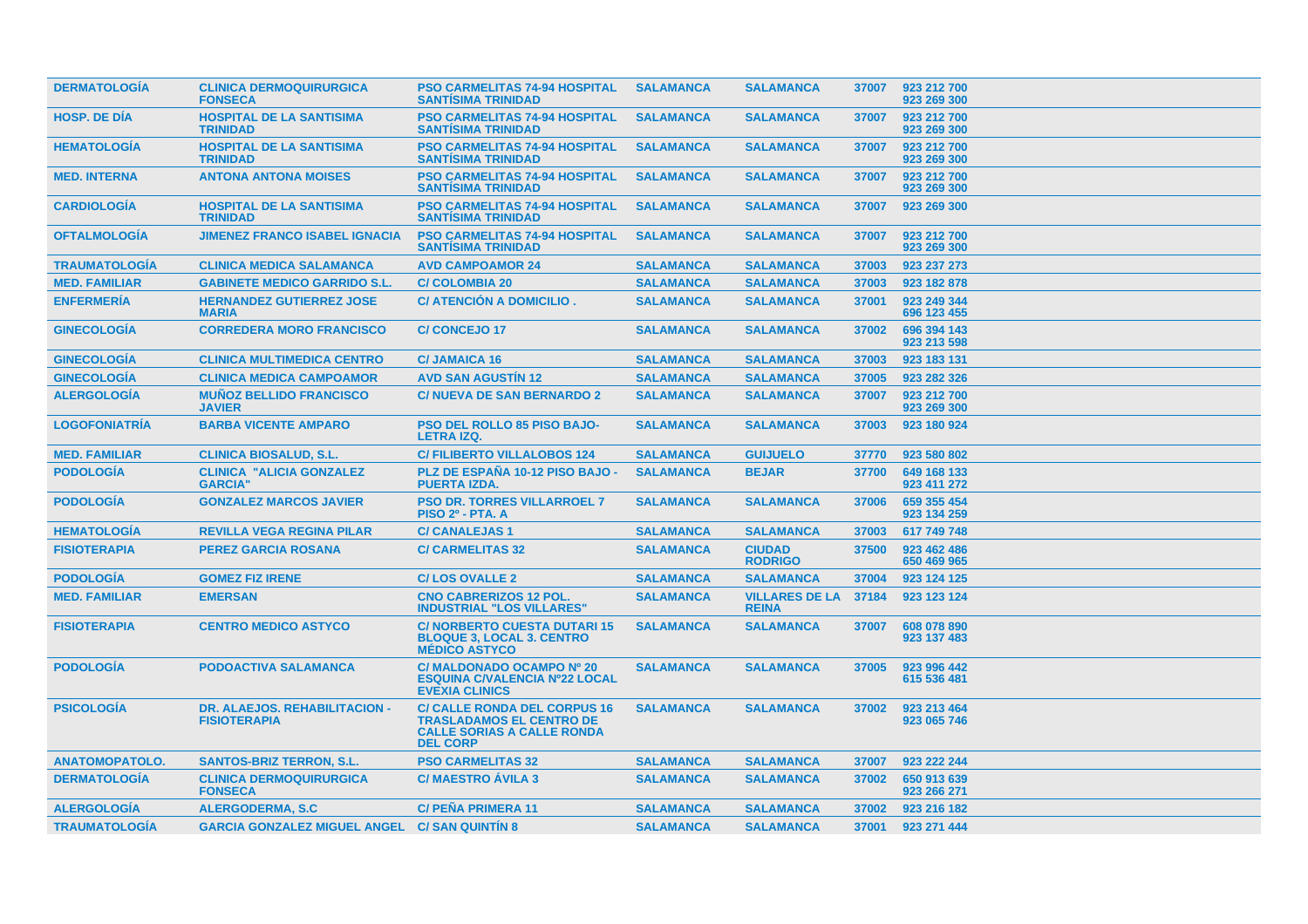| <b>DERMATOLOGIA</b>   | <b>CLINICA DERMOQUIRURGICA</b><br><b>FONSECA</b>            | <b>PSO CARMELITAS 74-94 HOSPITAL</b><br><b>SANTISIMA TRINIDAD</b>                                                              | <b>SALAMANCA</b> | <b>SALAMANCA</b>                      | 37007 | 923 212 700<br>923 269 300 |
|-----------------------|-------------------------------------------------------------|--------------------------------------------------------------------------------------------------------------------------------|------------------|---------------------------------------|-------|----------------------------|
| <b>HOSP, DE DIA</b>   | <b>HOSPITAL DE LA SANTISIMA</b><br><b>TRINIDAD</b>          | <b>PSO CARMELITAS 74-94 HOSPITAL</b><br><b>SANTISIMA TRINIDAD</b>                                                              | <b>SALAMANCA</b> | <b>SALAMANCA</b>                      | 37007 | 923 212 700<br>923 269 300 |
| <b>HEMATOLOGIA</b>    | <b>HOSPITAL DE LA SANTISIMA</b><br><b>TRINIDAD</b>          | PSO CARMELITAS 74-94 HOSPITAL<br><b>SANTISIMA TRINIDAD</b>                                                                     | <b>SALAMANCA</b> | <b>SALAMANCA</b>                      | 37007 | 923 212 700<br>923 269 300 |
| <b>MED. INTERNA</b>   | <b>ANTONA ANTONA MOISES</b>                                 | <b>PSO CARMELITAS 74-94 HOSPITAL</b><br><b>SANTISIMA TRINIDAD</b>                                                              | <b>SALAMANCA</b> | <b>SALAMANCA</b>                      | 37007 | 923 212 700<br>923 269 300 |
| <b>CARDIOLOGIA</b>    | <b>HOSPITAL DE LA SANTISIMA</b><br><b>TRINIDAD</b>          | <b>PSO CARMELITAS 74-94 HOSPITAL</b><br><b>SANTÍSIMA TRINIDAD</b>                                                              | <b>SALAMANCA</b> | <b>SALAMANCA</b>                      | 37007 | 923 269 300                |
| <b>OFTALMOLOGIA</b>   | <b>JIMENEZ FRANCO ISABEL IGNACIA</b>                        | <b>PSO CARMELITAS 74-94 HOSPITAL</b><br><b>SANTISIMA TRINIDAD</b>                                                              | <b>SALAMANCA</b> | <b>SALAMANCA</b>                      | 37007 | 923 212 700<br>923 269 300 |
| <b>TRAUMATOLOGÍA</b>  | <b>CLINICA MEDICA SALAMANCA</b>                             | <b>AVD CAMPOAMOR 24</b>                                                                                                        | <b>SALAMANCA</b> | <b>SALAMANCA</b>                      | 37003 | 923 237 273                |
| <b>MED. FAMILIAR</b>  | <b>GABINETE MEDICO GARRIDO S.L.</b>                         | <b>C/COLOMBIA 20</b>                                                                                                           | <b>SALAMANCA</b> | <b>SALAMANCA</b>                      | 37003 | 923 182 878                |
| <b>ENFERMERIA</b>     | <b>HERNANDEZ GUTIERREZ JOSE</b><br><b>MARIA</b>             | C/ ATENCIÓN A DOMICILIO.                                                                                                       | <b>SALAMANCA</b> | <b>SALAMANCA</b>                      | 37001 | 923 249 344<br>696 123 455 |
| <b>GINECOLOGIA</b>    | <b>CORREDERA MORO FRANCISCO</b>                             | <b>C/CONCEJO17</b>                                                                                                             | <b>SALAMANCA</b> | <b>SALAMANCA</b>                      | 37002 | 696 394 143<br>923 213 598 |
| <b>GINECOLOGÍA</b>    | <b>CLINICA MULTIMEDICA CENTRO</b>                           | <b>C/JAMAICA 16</b>                                                                                                            | <b>SALAMANCA</b> | <b>SALAMANCA</b>                      | 37003 | 923 183 131                |
| <b>GINECOLOGÍA</b>    | <b>CLINICA MEDICA CAMPOAMOR</b>                             | <b>AVD SAN AGUSTIN 12</b>                                                                                                      | <b>SALAMANCA</b> | <b>SALAMANCA</b>                      | 37005 | 923 282 326                |
| <b>ALERGOLOGÍA</b>    | <b>MUÑOZ BELLIDO FRANCISCO</b><br><b>JAVIER</b>             | <b>C/NUEVA DE SAN BERNARDO 2</b>                                                                                               | <b>SALAMANCA</b> | <b>SALAMANCA</b>                      | 37007 | 923 212 700<br>923 269 300 |
| <b>LOGOFONIATRIA</b>  | <b>BARBA VICENTE AMPARO</b>                                 | <b>PSO DEL ROLLO 85 PISO BAJO-</b><br><b>LETRA IZQ.</b>                                                                        | <b>SALAMANCA</b> | <b>SALAMANCA</b>                      | 37003 | 923 180 924                |
| <b>MED. FAMILIAR</b>  | <b>CLINICA BIOSALUD, S.L.</b>                               | <b>C/FILIBERTO VILLALOBOS 124</b>                                                                                              | <b>SALAMANCA</b> | <b>GUIJUELO</b>                       | 37770 | 923 580 802                |
| <b>PODOLOGIA</b>      | <b>CLINICA "ALICIA GONZALEZ</b><br><b>GARCIA"</b>           | PLZ DE ESPAÑA 10-12 PISO BAJO -<br><b>PUERTA IZDA.</b>                                                                         | <b>SALAMANCA</b> | <b>BEJAR</b>                          | 37700 | 649 168 133<br>923 411 272 |
| <b>PODOLOGÍA</b>      | <b>GONZALEZ MARCOS JAVIER</b>                               | <b>PSO DR. TORRES VILLARROEL 7</b><br><b>PISO 2º - PTA. A</b>                                                                  | <b>SALAMANCA</b> | <b>SALAMANCA</b>                      | 37006 | 659 355 454<br>923 134 259 |
| <b>HEMATOLOGIA</b>    | <b>REVILLA VEGA REGINA PILAR</b>                            | <b>C/ CANALEJAS 1</b>                                                                                                          | <b>SALAMANCA</b> | <b>SALAMANCA</b>                      | 37003 | 617 749 748                |
| <b>FISIOTERAPIA</b>   | <b>PEREZ GARCIA ROSANA</b>                                  | <b>C/ CARMELITAS 32</b>                                                                                                        | <b>SALAMANCA</b> | <b>CIUDAD</b><br><b>RODRIGO</b>       | 37500 | 923 462 486<br>650 469 965 |
| <b>PODOLOGÍA</b>      | <b>GOMEZ FIZ IRENE</b>                                      | <b>C/LOS OVALLE 2</b>                                                                                                          | <b>SALAMANCA</b> | <b>SALAMANCA</b>                      | 37004 | 923 124 125                |
| <b>MED. FAMILIAR</b>  | <b>EMERSAN</b>                                              | <b>CNO CABRERIZOS 12 POL.</b><br><b>INDUSTRIAL "LOS VILLARES"</b>                                                              | <b>SALAMANCA</b> | <b>VILLARES DE LA</b><br><b>REINA</b> | 37184 | 923 123 124                |
| <b>FISIOTERAPIA</b>   | <b>CENTRO MEDICO ASTYCO</b>                                 | <b>C/NORBERTO CUESTA DUTARI 15</b><br><b>BLOQUE 3, LOCAL 3. CENTRO</b><br><b>MÉDICO ASTYCO</b>                                 | <b>SALAMANCA</b> | <b>SALAMANCA</b>                      | 37007 | 608 078 890<br>923 137 483 |
| <b>PODOLOGÍA</b>      | <b>PODOACTIVA SALAMANCA</b>                                 | C/ MALDONADO OCAMPO Nº 20<br><b>ESQUINA C/VALENCIA Nº22 LOCAL</b><br><b>EVEXIA CLINICS</b>                                     | <b>SALAMANCA</b> | <b>SALAMANCA</b>                      | 37005 | 923 996 442<br>615 536 481 |
| <b>PSICOLOGIA</b>     | <b>DR. ALAEJOS. REHABILITACION -</b><br><b>FISIOTERAPIA</b> | <b>C/ CALLE RONDA DEL CORPUS 16</b><br><b>TRASLADAMOS EL CENTRO DE</b><br><b>CALLE SORIAS A CALLE RONDA</b><br><b>DEL CORP</b> | <b>SALAMANCA</b> | <b>SALAMANCA</b>                      | 37002 | 923 213 464<br>923 065 746 |
| <b>ANATOMOPATOLO.</b> | <b>SANTOS-BRIZ TERRON, S.L.</b>                             | <b>PSO CARMELITAS 32</b>                                                                                                       | <b>SALAMANCA</b> | <b>SALAMANCA</b>                      | 37007 | 923 222 244                |
| <b>DERMATOLOGÍA</b>   | <b>CLINICA DERMOQUIRURGICA</b><br><b>FONSECA</b>            | <b>C/MAESTRO AVILA 3</b>                                                                                                       | <b>SALAMANCA</b> | <b>SALAMANCA</b>                      | 37002 | 650 913 639<br>923 266 271 |
| <b>ALERGOLOGIA</b>    | ALERGODERMA, S.C.                                           | <b>C/PEÑA PRIMERA 11</b>                                                                                                       | <b>SALAMANCA</b> | <b>SALAMANCA</b>                      | 37002 | 923 216 182                |
| <b>TRAUMATOLOGIA</b>  | <b>GARCIA GONZALEZ MIGUEL ANGEL C/ SAN QUINTIN 8</b>        |                                                                                                                                | <b>SALAMANCA</b> | <b>SALAMANCA</b>                      | 37001 | 923 271 444                |
|                       |                                                             |                                                                                                                                |                  |                                       |       |                            |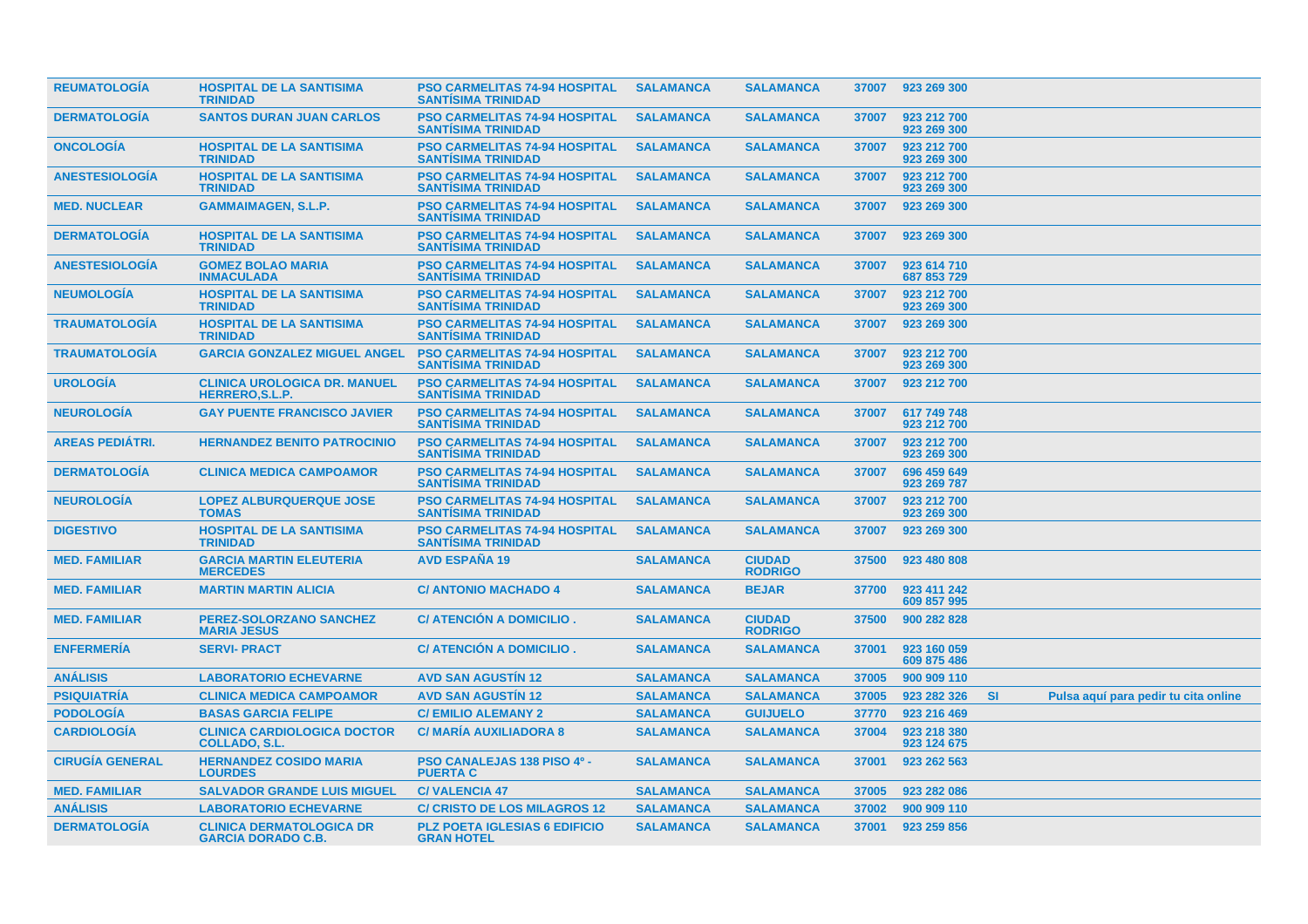| <b>REUMATOLOGIA</b>    | <b>HOSPITAL DE LA SANTISIMA</b><br><b>TRINIDAD</b>            | <b>PSO CARMELITAS 74-94 HOSPITAL</b><br><b>SANTISIMA TRINIDAD</b> | <b>SALAMANCA</b> | <b>SALAMANCA</b>                |       | 37007 923 269 300          |           |                                      |
|------------------------|---------------------------------------------------------------|-------------------------------------------------------------------|------------------|---------------------------------|-------|----------------------------|-----------|--------------------------------------|
| <b>DERMATOLOGIA</b>    | <b>SANTOS DURAN JUAN CARLOS</b>                               | <b>PSO CARMELITAS 74-94 HOSPITAL</b><br><b>SANTISIMA TRINIDAD</b> | <b>SALAMANCA</b> | <b>SALAMANCA</b>                | 37007 | 923 212 700<br>923 269 300 |           |                                      |
| <b>ONCOLOGIA</b>       | <b>HOSPITAL DE LA SANTISIMA</b><br><b>TRINIDAD</b>            | <b>PSO CARMELITAS 74-94 HOSPITAL</b><br><b>SANTISIMA TRINIDAD</b> | <b>SALAMANCA</b> | <b>SALAMANCA</b>                | 37007 | 923 212 700<br>923 269 300 |           |                                      |
| <b>ANESTESIOLOGIA</b>  | <b>HOSPITAL DE LA SANTISIMA</b><br><b>TRINIDAD</b>            | <b>PSO CARMELITAS 74-94 HOSPITAL</b><br><b>SANTISIMA TRINIDAD</b> | <b>SALAMANCA</b> | <b>SALAMANCA</b>                | 37007 | 923 212 700<br>923 269 300 |           |                                      |
| <b>MED. NUCLEAR</b>    | <b>GAMMAIMAGEN, S.L.P.</b>                                    | <b>PSO CARMELITAS 74-94 HOSPITAL</b><br><b>SANTISIMA TRINIDAD</b> | <b>SALAMANCA</b> | <b>SALAMANCA</b>                | 37007 | 923 269 300                |           |                                      |
| <b>DERMATOLOGÍA</b>    | <b>HOSPITAL DE LA SANTISIMA</b><br><b>TRINIDAD</b>            | <b>PSO CARMELITAS 74-94 HOSPITAL</b><br><b>SANTISIMA TRINIDAD</b> | <b>SALAMANCA</b> | <b>SALAMANCA</b>                | 37007 | 923 269 300                |           |                                      |
| <b>ANESTESIOLOGIA</b>  | <b>GOMEZ BOLAO MARIA</b><br><b>INMACULADA</b>                 | <b>PSO CARMELITAS 74-94 HOSPITAL</b><br><b>SANTISIMA TRINIDAD</b> | <b>SALAMANCA</b> | <b>SALAMANCA</b>                | 37007 | 923 614 710<br>687 853 729 |           |                                      |
| <b>NEUMOLOGIA</b>      | <b>HOSPITAL DE LA SANTISIMA</b><br><b>TRINIDAD</b>            | <b>PSO CARMELITAS 74-94 HOSPITAL</b><br><b>SANTISIMA TRINIDAD</b> | <b>SALAMANCA</b> | <b>SALAMANCA</b>                | 37007 | 923 212 700<br>923 269 300 |           |                                      |
| <b>TRAUMATOLOGIA</b>   | <b>HOSPITAL DE LA SANTISIMA</b><br><b>TRINIDAD</b>            | <b>PSO CARMELITAS 74-94 HOSPITAL</b><br><b>SANTISIMA TRINIDAD</b> | <b>SALAMANCA</b> | <b>SALAMANCA</b>                | 37007 | 923 269 300                |           |                                      |
| <b>TRAUMATOLOGIA</b>   | <b>GARCIA GONZALEZ MIGUEL ANGEL</b>                           | <b>PSO CARMELITAS 74-94 HOSPITAL</b><br><b>SANTÍSIMA TRINIDAD</b> | <b>SALAMANCA</b> | <b>SALAMANCA</b>                | 37007 | 923 212 700<br>923 269 300 |           |                                      |
| <b>UROLOGÍA</b>        | <b>CLINICA UROLOGICA DR. MANUEL</b><br><b>HERRERO, S.L.P.</b> | <b>PSO CARMELITAS 74-94 HOSPITAL</b><br><b>SANTISIMA TRINIDAD</b> | <b>SALAMANCA</b> | <b>SALAMANCA</b>                | 37007 | 923 212 700                |           |                                      |
| <b>NEUROLOGÍA</b>      | <b>GAY PUENTE FRANCISCO JAVIER</b>                            | <b>PSO CARMELITAS 74-94 HOSPITAL</b><br><b>SANTISIMA TRINIDAD</b> | <b>SALAMANCA</b> | <b>SALAMANCA</b>                | 37007 | 617 749 748<br>923 212 700 |           |                                      |
| <b>AREAS PEDIÁTRI.</b> | <b>HERNANDEZ BENITO PATROCINIO</b>                            | <b>PSO CARMELITAS 74-94 HOSPITAL</b><br><b>SANTISIMA TRINIDAD</b> | <b>SALAMANCA</b> | <b>SALAMANCA</b>                | 37007 | 923 212 700<br>923 269 300 |           |                                      |
| <b>DERMATOLOGÍA</b>    | <b>CLINICA MEDICA CAMPOAMOR</b>                               | <b>PSO CARMELITAS 74-94 HOSPITAL</b><br><b>SANTISIMA TRINIDAD</b> | <b>SALAMANCA</b> | <b>SALAMANCA</b>                | 37007 | 696 459 649<br>923 269 787 |           |                                      |
| <b>NEUROLOGIA</b>      | <b>LOPEZ ALBURQUERQUE JOSE</b><br><b>TOMAS</b>                | <b>PSO CARMELITAS 74-94 HOSPITAL</b><br><b>SANTISIMA TRINIDAD</b> | <b>SALAMANCA</b> | <b>SALAMANCA</b>                | 37007 | 923 212 700<br>923 269 300 |           |                                      |
| <b>DIGESTIVO</b>       | <b>HOSPITAL DE LA SANTISIMA</b><br><b>TRINIDAD</b>            | <b>PSO CARMELITAS 74-94 HOSPITAL</b><br><b>SANTISIMA TRINIDAD</b> | <b>SALAMANCA</b> | <b>SALAMANCA</b>                | 37007 | 923 269 300                |           |                                      |
| <b>MED. FAMILIAR</b>   | <b>GARCIA MARTIN ELEUTERIA</b><br><b>MERCEDES</b>             | <b>AVD ESPAÑA 19</b>                                              | <b>SALAMANCA</b> | <b>CIUDAD</b><br><b>RODRIGO</b> | 37500 | 923 480 808                |           |                                      |
| <b>MED. FAMILIAR</b>   | <b>MARTIN MARTIN ALICIA</b>                                   | <b>C/ ANTONIO MACHADO 4</b>                                       | <b>SALAMANCA</b> | <b>BEJAR</b>                    | 37700 | 923 411 242<br>609 857 995 |           |                                      |
| <b>MED. FAMILIAR</b>   | PEREZ-SOLORZANO SANCHEZ<br><b>MARIA JESUS</b>                 | C/ ATENCIÓN A DOMICILIO.                                          | <b>SALAMANCA</b> | <b>CIUDAD</b><br><b>RODRIGO</b> | 37500 | 900 282 828                |           |                                      |
| <b>ENFERMERÍA</b>      | <b>SERVI-PRACT</b>                                            | C/ ATENCIÓN A DOMICILIO.                                          | <b>SALAMANCA</b> | <b>SALAMANCA</b>                | 37001 | 923 160 059<br>609 875 486 |           |                                      |
| <b>ANÁLISIS</b>        | <b>LABORATORIO ECHEVARNE</b>                                  | <b>AVD SAN AGUSTIN 12</b>                                         | <b>SALAMANCA</b> | <b>SALAMANCA</b>                | 37005 | 900 909 110                |           |                                      |
| <b>PSIQUIATRÍA</b>     | <b>CLINICA MEDICA CAMPOAMOR</b>                               | <b>AVD SAN AGUSTIN 12</b>                                         | <b>SALAMANCA</b> | <b>SALAMANCA</b>                | 37005 | 923 282 326                | <b>SI</b> | Pulsa aquí para pedir tu cita online |
| <b>PODOLOGÍA</b>       | <b>BASAS GARCIA FELIPE</b>                                    | <b>C/ EMILIO ALEMANY 2</b>                                        | <b>SALAMANCA</b> | <b>GUIJUELO</b>                 | 37770 | 923 216 469                |           |                                      |
| <b>CARDIOLOGIA</b>     | <b>CLINICA CARDIOLOGICA DOCTOR</b><br><b>COLLADO, S.L.</b>    | <b>C/ MARIA AUXILIADORA 8</b>                                     | <b>SALAMANCA</b> | <b>SALAMANCA</b>                | 37004 | 923 218 380<br>923 124 675 |           |                                      |
| <b>CIRUGÍA GENERAL</b> | <b>HERNANDEZ COSIDO MARIA</b><br><b>LOURDES</b>               | PSO CANALEJAS 138 PISO 4º -<br><b>PUERTA C</b>                    | <b>SALAMANCA</b> | <b>SALAMANCA</b>                | 37001 | 923 262 563                |           |                                      |
| <b>MED. FAMILIAR</b>   | <b>SALVADOR GRANDE LUIS MIGUEL</b>                            | <b>C/VALENCIA 47</b>                                              | <b>SALAMANCA</b> | <b>SALAMANCA</b>                | 37005 | 923 282 086                |           |                                      |
| <b>ANÁLISIS</b>        | <b>LABORATORIO ECHEVARNE</b>                                  | <b>C/ CRISTO DE LOS MILAGROS 12</b>                               | <b>SALAMANCA</b> | <b>SALAMANCA</b>                | 37002 | 900 909 110                |           |                                      |
| <b>DERMATOLOGÍA</b>    | <b>CLINICA DERMATOLOGICA DR</b><br><b>GARCIA DORADO C.B.</b>  | <b>PLZ POETA IGLESIAS 6 EDIFICIO</b><br><b>GRAN HOTEL</b>         | <b>SALAMANCA</b> | <b>SALAMANCA</b>                |       | 37001 923 259 856          |           |                                      |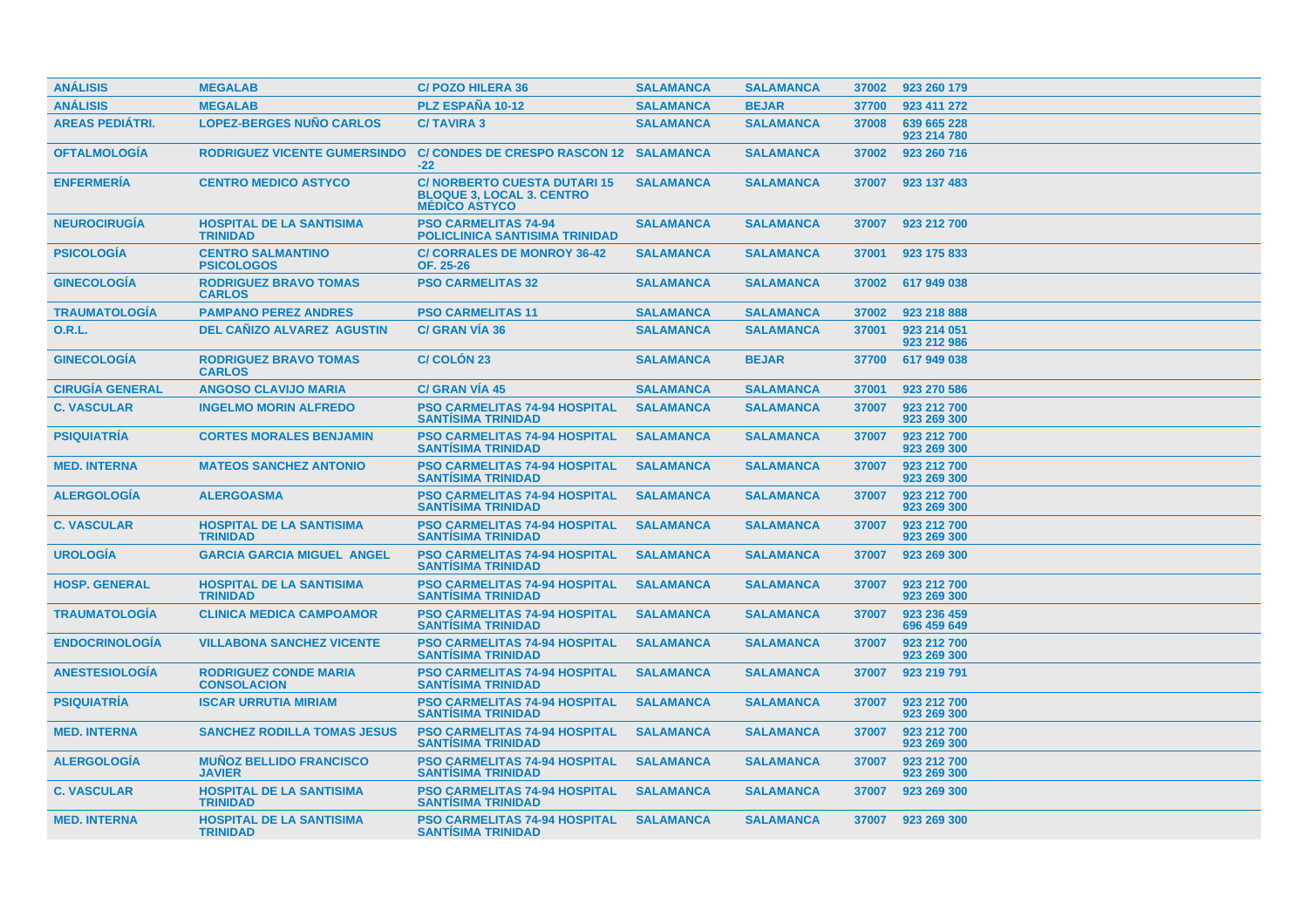| <b>ANÁLISIS</b>        | <b>MEGALAB</b>                                     | <b>C/POZO HILERA 36</b>                                                                        | <b>SALAMANCA</b> | <b>SALAMANCA</b> | 37002 | 923 260 179                |
|------------------------|----------------------------------------------------|------------------------------------------------------------------------------------------------|------------------|------------------|-------|----------------------------|
| <b>ANÁLISIS</b>        | <b>MEGALAB</b>                                     | PLZ ESPAÑA 10-12                                                                               | <b>SALAMANCA</b> | <b>BEJAR</b>     | 37700 | 923 411 272                |
| <b>AREAS PEDIÁTRI.</b> | <b>LOPEZ-BERGES NUÑO CARLOS</b>                    | <b>C/TAVIRA 3</b>                                                                              | <b>SALAMANCA</b> | <b>SALAMANCA</b> | 37008 | 639 665 228<br>923 214 780 |
| <b>OFTALMOLOGÍA</b>    | <b>RODRIGUEZ VICENTE GUMERSINDO</b>                | C/ CONDES DE CRESPO RASCON 12 SALAMANCA<br>$-22$                                               |                  | <b>SALAMANCA</b> | 37002 | 923 260 716                |
| <b>ENFERMERÍA</b>      | <b>CENTRO MEDICO ASTYCO</b>                        | <b>C/NORBERTO CUESTA DUTARI 15</b><br><b>BLOQUE 3, LOCAL 3. CENTRO</b><br><b>MÉDICO ASTYCO</b> | <b>SALAMANCA</b> | <b>SALAMANCA</b> | 37007 | 923 137 483                |
| <b>NEUROCIRUGIA</b>    | <b>HOSPITAL DE LA SANTISIMA</b><br><b>TRINIDAD</b> | <b>PSO CARMELITAS 74-94</b><br><b>POLICLINICA SANTISIMA TRINIDAD</b>                           | <b>SALAMANCA</b> | <b>SALAMANCA</b> | 37007 | 923 212 700                |
| <b>PSICOLOGÍA</b>      | <b>CENTRO SALMANTINO</b><br><b>PSICOLOGOS</b>      | <b>C/ CORRALES DE MONROY 36-42</b><br>OF. 25-26                                                | <b>SALAMANCA</b> | <b>SALAMANCA</b> | 37001 | 923 175 833                |
| <b>GINECOLOGÍA</b>     | <b>RODRIGUEZ BRAVO TOMAS</b><br><b>CARLOS</b>      | <b>PSO CARMELITAS 32</b>                                                                       | <b>SALAMANCA</b> | <b>SALAMANCA</b> | 37002 | 617 949 038                |
| <b>TRAUMATOLOGIA</b>   | <b>PAMPANO PEREZ ANDRES</b>                        | <b>PSO CARMELITAS 11</b>                                                                       | <b>SALAMANCA</b> | <b>SALAMANCA</b> | 37002 | 923 218 888                |
| <b>O.R.L.</b>          | <b>DEL CAÑIZO ALVAREZ AGUSTIN</b>                  | <b>C/ GRAN VIA 36</b>                                                                          | <b>SALAMANCA</b> | <b>SALAMANCA</b> | 37001 | 923 214 051<br>923 212 986 |
| <b>GINECOLOGÍA</b>     | <b>RODRIGUEZ BRAVO TOMAS</b><br><b>CARLOS</b>      | C/ COLÓN 23                                                                                    | <b>SALAMANCA</b> | <b>BEJAR</b>     | 37700 | 617 949 038                |
| <b>CIRUGÍA GENERAL</b> | <b>ANGOSO CLAVIJO MARIA</b>                        | <b>C/ GRAN VIA 45</b>                                                                          | <b>SALAMANCA</b> | <b>SALAMANCA</b> | 37001 | 923 270 586                |
| <b>C. VASCULAR</b>     | <b>INGELMO MORIN ALFREDO</b>                       | <b>PSO CARMELITAS 74-94 HOSPITAL</b><br><b>SANTISIMA TRINIDAD</b>                              | <b>SALAMANCA</b> | <b>SALAMANCA</b> | 37007 | 923 212 700<br>923 269 300 |
| <b>PSIQUIATRÍA</b>     | <b>CORTES MORALES BENJAMIN</b>                     | <b>PSO CARMELITAS 74-94 HOSPITAL</b><br><b>SANTISIMA TRINIDAD</b>                              | <b>SALAMANCA</b> | <b>SALAMANCA</b> | 37007 | 923 212 700<br>923 269 300 |
| <b>MED. INTERNA</b>    | <b>MATEOS SANCHEZ ANTONIO</b>                      | <b>PSO CARMELITAS 74-94 HOSPITAL</b><br><b>SANTISIMA TRINIDAD</b>                              | <b>SALAMANCA</b> | <b>SALAMANCA</b> | 37007 | 923 212 700<br>923 269 300 |
| <b>ALERGOLOGIA</b>     | <b>ALERGOASMA</b>                                  | <b>PSO CARMELITAS 74-94 HOSPITAL</b><br><b>SANTÍSIMA TRINIDAD</b>                              | <b>SALAMANCA</b> | <b>SALAMANCA</b> | 37007 | 923 212 700<br>923 269 300 |
| <b>C. VASCULAR</b>     | <b>HOSPITAL DE LA SANTISIMA</b><br><b>TRINIDAD</b> | <b>PSO CARMELITAS 74-94 HOSPITAL</b><br><b>SANTISIMA TRINIDAD</b>                              | <b>SALAMANCA</b> | <b>SALAMANCA</b> | 37007 | 923 212 700<br>923 269 300 |
| <b>UROLOGÍA</b>        | <b>GARCIA GARCIA MIGUEL ANGEL</b>                  | <b>PSO CARMELITAS 74-94 HOSPITAL</b><br><b>SANTISIMA TRINIDAD</b>                              | <b>SALAMANCA</b> | <b>SALAMANCA</b> | 37007 | 923 269 300                |
| <b>HOSP. GENERAL</b>   | <b>HOSPITAL DE LA SANTISIMA</b><br><b>TRINIDAD</b> | <b>PSO CARMELITAS 74-94 HOSPITAL</b><br><b>SANTISIMA TRINIDAD</b>                              | <b>SALAMANCA</b> | <b>SALAMANCA</b> | 37007 | 923 212 700<br>923 269 300 |
| <b>TRAUMATOLOGIA</b>   | <b>CLINICA MEDICA CAMPOAMOR</b>                    | <b>PSO CARMELITAS 74-94 HOSPITAL</b><br><b>SANTISIMA TRINIDAD</b>                              | <b>SALAMANCA</b> | <b>SALAMANCA</b> | 37007 | 923 236 459<br>696 459 649 |
| <b>ENDOCRINOLOGÍA</b>  | <b>VILLABONA SANCHEZ VICENTE</b>                   | <b>PSO CARMELITAS 74-94 HOSPITAL</b><br><b>SANTISIMA TRINIDAD</b>                              | <b>SALAMANCA</b> | <b>SALAMANCA</b> | 37007 | 923 212 700<br>923 269 300 |
| <b>ANESTESIOLOGÍA</b>  | <b>RODRIGUEZ CONDE MARIA</b><br><b>CONSOLACION</b> | <b>PSO CARMELITAS 74-94 HOSPITAL</b><br><b>SANTISIMA TRINIDAD</b>                              | <b>SALAMANCA</b> | <b>SALAMANCA</b> | 37007 | 923 219 791                |
| <b>PSIQUIATRÍA</b>     | <b>ISCAR URRUTIA MIRIAM</b>                        | <b>PSO CARMELITAS 74-94 HOSPITAL</b><br><b>SANTÍSIMA TRINIDAD</b>                              | <b>SALAMANCA</b> | <b>SALAMANCA</b> | 37007 | 923 212 700<br>923 269 300 |
| <b>MED. INTERNA</b>    | <b>SANCHEZ RODILLA TOMAS JESUS</b>                 | <b>PSO CARMELITAS 74-94 HOSPITAL</b><br><b>SANTISIMA TRINIDAD</b>                              | <b>SALAMANCA</b> | <b>SALAMANCA</b> | 37007 | 923 212 700<br>923 269 300 |
| <b>ALERGOLOGÍA</b>     | <b>MUÑOZ BELLIDO FRANCISCO</b><br><b>JAVIER</b>    | <b>PSO CARMELITAS 74-94 HOSPITAL</b><br><b>SANTISIMA TRINIDAD</b>                              | <b>SALAMANCA</b> | <b>SALAMANCA</b> | 37007 | 923 212 700<br>923 269 300 |
| <b>C. VASCULAR</b>     | <b>HOSPITAL DE LA SANTISIMA</b><br><b>TRINIDAD</b> | <b>PSO CARMELITAS 74-94 HOSPITAL</b><br><b>SANTISIMA TRINIDAD</b>                              | <b>SALAMANCA</b> | <b>SALAMANCA</b> | 37007 | 923 269 300                |
| <b>MED. INTERNA</b>    | <b>HOSPITAL DE LA SANTISIMA</b><br><b>TRINIDAD</b> | <b>PSO CARMELITAS 74-94 HOSPITAL</b><br><b>SANTISIMA TRINIDAD</b>                              | <b>SALAMANCA</b> | <b>SALAMANCA</b> |       | 37007 923 269 300          |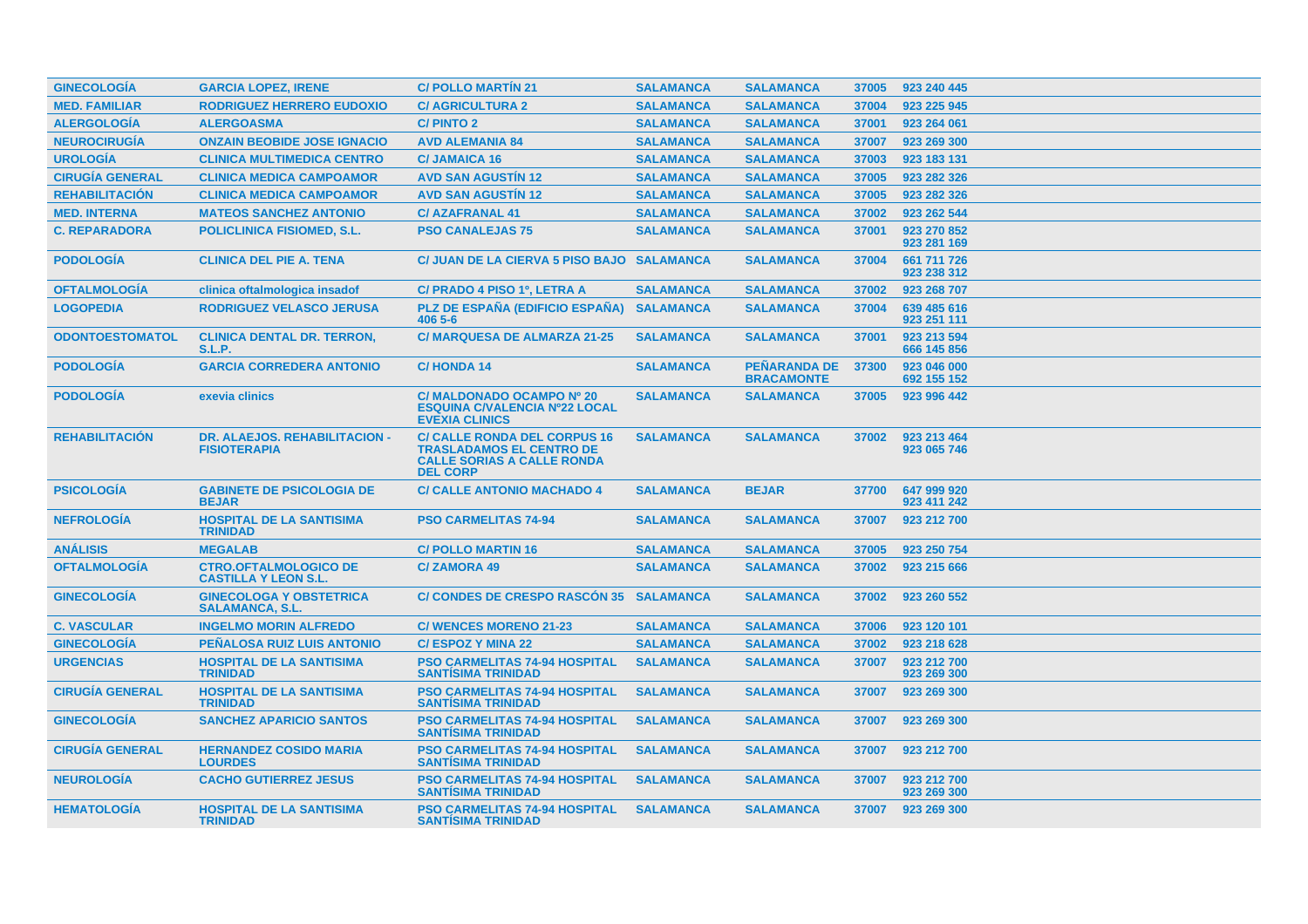| <b>GINECOLOGÍA</b>     | <b>GARCIA LOPEZ, IRENE</b>                                  | <b>C/POLLO MARTIN 21</b>                                                                                                       | <b>SALAMANCA</b> | <b>SALAMANCA</b>                         | 37005 | 923 240 445                |
|------------------------|-------------------------------------------------------------|--------------------------------------------------------------------------------------------------------------------------------|------------------|------------------------------------------|-------|----------------------------|
| <b>MED. FAMILIAR</b>   | <b>RODRIGUEZ HERRERO EUDOXIO</b>                            | <b>C/ AGRICULTURA 2</b>                                                                                                        | <b>SALAMANCA</b> | <b>SALAMANCA</b>                         | 37004 | 923 225 945                |
| <b>ALERGOLOGÍA</b>     | <b>ALERGOASMA</b>                                           | <b>C/PINTO 2</b>                                                                                                               | <b>SALAMANCA</b> | <b>SALAMANCA</b>                         | 37001 | 923 264 061                |
| <b>NEUROCIRUGÍA</b>    | <b>ONZAIN BEOBIDE JOSE IGNACIO</b>                          | <b>AVD ALEMANIA 84</b>                                                                                                         | <b>SALAMANCA</b> | <b>SALAMANCA</b>                         | 37007 | 923 269 300                |
| <b>UROLOGÍA</b>        | <b>CLINICA MULTIMEDICA CENTRO</b>                           | <b>C/JAMAICA 16</b>                                                                                                            | <b>SALAMANCA</b> | <b>SALAMANCA</b>                         | 37003 | 923 183 131                |
| <b>CIRUGÍA GENERAL</b> | <b>CLINICA MEDICA CAMPOAMOR</b>                             | <b>AVD SAN AGUSTIN 12</b>                                                                                                      | <b>SALAMANCA</b> | <b>SALAMANCA</b>                         | 37005 | 923 282 326                |
| <b>REHABILITACIÓN</b>  | <b>CLINICA MEDICA CAMPOAMOR</b>                             | <b>AVD SAN AGUSTIN 12</b>                                                                                                      | <b>SALAMANCA</b> | <b>SALAMANCA</b>                         | 37005 | 923 282 326                |
| <b>MED. INTERNA</b>    | <b>MATEOS SANCHEZ ANTONIO</b>                               | <b>C/AZAFRANAL 41</b>                                                                                                          | <b>SALAMANCA</b> | <b>SALAMANCA</b>                         | 37002 | 923 262 544                |
| <b>C. REPARADORA</b>   | <b>POLICLINICA FISIOMED, S.L.</b>                           | <b>PSO CANALEJAS 75</b>                                                                                                        | <b>SALAMANCA</b> | <b>SALAMANCA</b>                         | 37001 | 923 270 852<br>923 281 169 |
| <b>PODOLOGIA</b>       | <b>CLINICA DEL PIE A. TENA</b>                              | C/ JUAN DE LA CIERVA 5 PISO BAJO SALAMANCA                                                                                     |                  | <b>SALAMANCA</b>                         | 37004 | 661 711 726<br>923 238 312 |
| <b>OFTALMOLOGIA</b>    | clinica oftalmologica insadof                               | C/ PRADO 4 PISO 1º, LETRA A                                                                                                    | <b>SALAMANCA</b> | <b>SALAMANCA</b>                         | 37002 | 923 268 707                |
| <b>LOGOPEDIA</b>       | <b>RODRIGUEZ VELASCO JERUSA</b>                             | PLZ DE ESPAÑA (EDIFICIO ESPAÑA)<br>406 5-6                                                                                     | <b>SALAMANCA</b> | <b>SALAMANCA</b>                         | 37004 | 639 485 616<br>923 251 111 |
| <b>ODONTOESTOMATOL</b> | <b>CLINICA DENTAL DR. TERRON,</b><br>S.L.P.                 | <b>C/ MARQUESA DE ALMARZA 21-25</b>                                                                                            | <b>SALAMANCA</b> | <b>SALAMANCA</b>                         | 37001 | 923 213 594<br>666 145 856 |
| <b>PODOLOGÍA</b>       | <b>GARCIA CORREDERA ANTONIO</b>                             | <b>C/HONDA14</b>                                                                                                               | <b>SALAMANCA</b> | <b>PEÑARANDA DE</b><br><b>BRACAMONTE</b> | 37300 | 923 046 000<br>692 155 152 |
| <b>PODOLOGIA</b>       | exevia clinics                                              | C/ MALDONADO OCAMPO Nº 20<br><b>ESQUINA C/VALENCIA Nº22 LOCAL</b><br><b>EVEXIA CLINICS</b>                                     | <b>SALAMANCA</b> | <b>SALAMANCA</b>                         | 37005 | 923 996 442                |
| <b>REHABILITACIÓN</b>  | DR. ALAEJOS. REHABILITACION -<br><b>FISIOTERAPIA</b>        | <b>C/ CALLE RONDA DEL CORPUS 16</b><br><b>TRASLADAMOS EL CENTRO DE</b><br><b>CALLE SORIAS A CALLE RONDA</b><br><b>DEL CORP</b> | <b>SALAMANCA</b> | <b>SALAMANCA</b>                         | 37002 | 923 213 464<br>923 065 746 |
| <b>PSICOLOGÍA</b>      | <b>GABINETE DE PSICOLOGIA DE</b><br><b>BEJAR</b>            | <b>C/ CALLE ANTONIO MACHADO 4</b>                                                                                              | <b>SALAMANCA</b> | <b>BEJAR</b>                             | 37700 | 647 999 920<br>923 411 242 |
| <b>NEFROLOGIA</b>      | <b>HOSPITAL DE LA SANTISIMA</b><br><b>TRINIDAD</b>          | <b>PSO CARMELITAS 74-94</b>                                                                                                    | <b>SALAMANCA</b> | <b>SALAMANCA</b>                         | 37007 | 923 212 700                |
| <b>ANÁLISIS</b>        | <b>MEGALAB</b>                                              | <b>C/POLLO MARTIN 16</b>                                                                                                       | <b>SALAMANCA</b> | <b>SALAMANCA</b>                         | 37005 | 923 250 754                |
| <b>OFTALMOLOGIA</b>    | <b>CTRO.OFTALMOLOGICO DE</b><br><b>CASTILLA Y LEON S.L.</b> | <b>C/ZAMORA 49</b>                                                                                                             | <b>SALAMANCA</b> | <b>SALAMANCA</b>                         | 37002 | 923 215 666                |
| <b>GINECOLOGÍA</b>     | <b>GINECOLOGA Y OBSTETRICA</b><br><b>SALAMANCA, S.L.</b>    | C/ CONDES DE CRESPO RASCÓN 35 SALAMANCA                                                                                        |                  | <b>SALAMANCA</b>                         | 37002 | 923 260 552                |
| <b>C. VASCULAR</b>     | <b>INGELMO MORIN ALFREDO</b>                                | <b>C/ WENCES MORENO 21-23</b>                                                                                                  | <b>SALAMANCA</b> | <b>SALAMANCA</b>                         | 37006 | 923 120 101                |
| <b>GINECOLOGÍA</b>     | PEÑALOSA RUIZ LUIS ANTONIO                                  | <b>C/ESPOZ Y MINA 22</b>                                                                                                       | <b>SALAMANCA</b> | <b>SALAMANCA</b>                         | 37002 | 923 218 628                |
| <b>URGENCIAS</b>       | <b>HOSPITAL DE LA SANTISIMA</b><br><b>TRINIDAD</b>          | <b>PSO CARMELITAS 74-94 HOSPITAL</b><br><b>SANTISIMA TRINIDAD</b>                                                              | <b>SALAMANCA</b> | <b>SALAMANCA</b>                         | 37007 | 923 212 700<br>923 269 300 |
| <b>CIRUGÍA GENERAL</b> | <b>HOSPITAL DE LA SANTISIMA</b><br><b>TRINIDAD</b>          | <b>PSO CARMELITAS 74-94 HOSPITAL</b><br><b>SANTISIMA TRINIDAD</b>                                                              | <b>SALAMANCA</b> | <b>SALAMANCA</b>                         | 37007 | 923 269 300                |
| <b>GINECOLOGÍA</b>     | <b>SANCHEZ APARICIO SANTOS</b>                              | <b>PSO CARMELITAS 74-94 HOSPITAL</b><br><b>SANTISIMA TRINIDAD</b>                                                              | <b>SALAMANCA</b> | <b>SALAMANCA</b>                         | 37007 | 923 269 300                |
| <b>CIRUGÍA GENERAL</b> | <b>HERNANDEZ COSIDO MARIA</b><br><b>LOURDES</b>             | <b>PSO CARMELITAS 74-94 HOSPITAL</b><br><b>SANTISIMA TRINIDAD</b>                                                              | <b>SALAMANCA</b> | <b>SALAMANCA</b>                         | 37007 | 923 212 700                |
| <b>NEUROLOGIA</b>      | <b>CACHO GUTIERREZ JESUS</b>                                | <b>PSO CARMELITAS 74-94 HOSPITAL</b><br><b>SANTISIMA TRINIDAD</b>                                                              | <b>SALAMANCA</b> | <b>SALAMANCA</b>                         | 37007 | 923 212 700<br>923 269 300 |
| <b>HEMATOLOGIA</b>     | <b>HOSPITAL DE LA SANTISIMA</b><br><b>TRINIDAD</b>          | <b>PSO CARMELITAS 74-94 HOSPITAL</b><br><b>SANTISIMA TRINIDAD</b>                                                              | <b>SALAMANCA</b> | <b>SALAMANCA</b>                         | 37007 | 923 269 300                |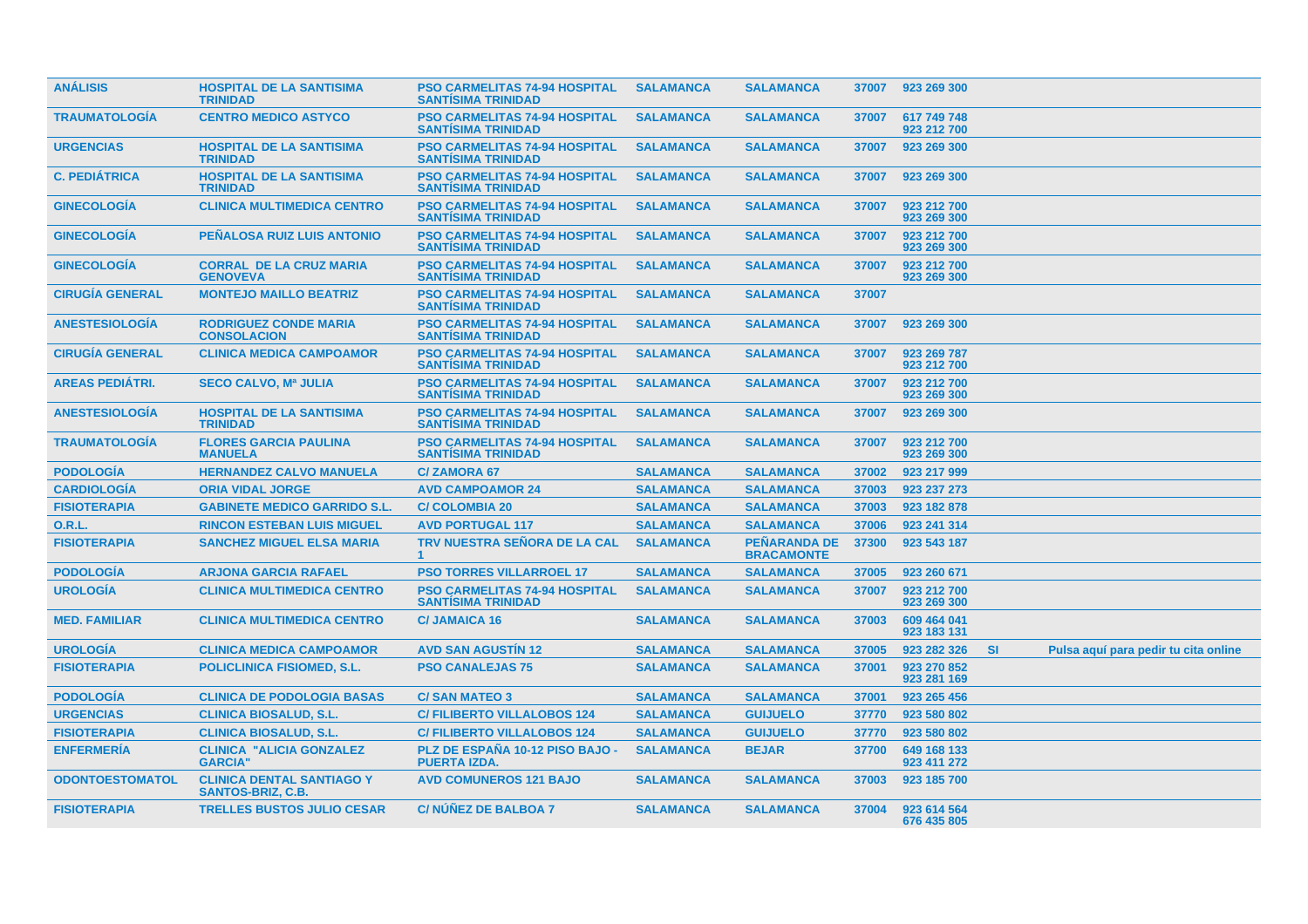| <b>ANÁLISIS</b>        | <b>HOSPITAL DE LA SANTISIMA</b><br><b>TRINIDAD</b>           | <b>PSO CARMELITAS 74-94 HOSPITAL</b><br><b>SANTISIMA TRINIDAD</b> | <b>SALAMANCA</b> | <b>SALAMANCA</b>                         | 37007 | 923 269 300                |           |                                      |
|------------------------|--------------------------------------------------------------|-------------------------------------------------------------------|------------------|------------------------------------------|-------|----------------------------|-----------|--------------------------------------|
| <b>TRAUMATOLOGIA</b>   | <b>CENTRO MEDICO ASTYCO</b>                                  | <b>PSO CARMELITAS 74-94 HOSPITAL</b><br><b>SANTISIMA TRINIDAD</b> | <b>SALAMANCA</b> | <b>SALAMANCA</b>                         | 37007 | 617 749 748<br>923 212 700 |           |                                      |
| <b>URGENCIAS</b>       | <b>HOSPITAL DE LA SANTISIMA</b><br><b>TRINIDAD</b>           | <b>PSO CARMELITAS 74-94 HOSPITAL</b><br><b>SANTISIMA TRINIDAD</b> | <b>SALAMANCA</b> | <b>SALAMANCA</b>                         | 37007 | 923 269 300                |           |                                      |
| <b>C. PEDIÁTRICA</b>   | <b>HOSPITAL DE LA SANTISIMA</b><br><b>TRINIDAD</b>           | <b>PSO CARMELITAS 74-94 HOSPITAL</b><br><b>SANTISIMA TRINIDAD</b> | <b>SALAMANCA</b> | <b>SALAMANCA</b>                         | 37007 | 923 269 300                |           |                                      |
| <b>GINECOLOGIA</b>     | <b>CLINICA MULTIMEDICA CENTRO</b>                            | <b>PSO CARMELITAS 74-94 HOSPITAL</b><br><b>SANTISIMA TRINIDAD</b> | <b>SALAMANCA</b> | <b>SALAMANCA</b>                         | 37007 | 923 212 700<br>923 269 300 |           |                                      |
| <b>GINECOLOGÍA</b>     | <b>PEÑALOSA RUIZ LUIS ANTONIO</b>                            | <b>PSO CARMELITAS 74-94 HOSPITAL</b><br><b>SANTISIMA TRINIDAD</b> | <b>SALAMANCA</b> | <b>SALAMANCA</b>                         | 37007 | 923 212 700<br>923 269 300 |           |                                      |
| <b>GINECOLOGIA</b>     | <b>CORRAL DE LA CRUZ MARIA</b><br><b>GENOVEVA</b>            | <b>PSO CARMELITAS 74-94 HOSPITAL</b><br><b>SANTÍSIMA TRINIDAD</b> | <b>SALAMANCA</b> | <b>SALAMANCA</b>                         | 37007 | 923 212 700<br>923 269 300 |           |                                      |
| <b>CIRUGÍA GENERAL</b> | <b>MONTEJO MAILLO BEATRIZ</b>                                | <b>PSO CARMELITAS 74-94 HOSPITAL</b><br><b>SANTISIMA TRINIDAD</b> | <b>SALAMANCA</b> | <b>SALAMANCA</b>                         | 37007 |                            |           |                                      |
| <b>ANESTESIOLOGIA</b>  | <b>RODRIGUEZ CONDE MARIA</b><br><b>CONSOLACION</b>           | <b>PSO CARMELITAS 74-94 HOSPITAL</b><br><b>SANTISIMA TRINIDAD</b> | <b>SALAMANCA</b> | <b>SALAMANCA</b>                         | 37007 | 923 269 300                |           |                                      |
| <b>CIRUGÍA GENERAL</b> | <b>CLINICA MEDICA CAMPOAMOR</b>                              | <b>PSO CARMELITAS 74-94 HOSPITAL</b><br><b>SANTISIMA TRINIDAD</b> | <b>SALAMANCA</b> | <b>SALAMANCA</b>                         | 37007 | 923 269 787<br>923 212 700 |           |                                      |
| <b>AREAS PEDIÁTRI.</b> | <b>SECO CALVO, Mª JULIA</b>                                  | <b>PSO CARMELITAS 74-94 HOSPITAL</b><br><b>SANTISIMA TRINIDAD</b> | <b>SALAMANCA</b> | <b>SALAMANCA</b>                         | 37007 | 923 212 700<br>923 269 300 |           |                                      |
| <b>ANESTESIOLOGÍA</b>  | <b>HOSPITAL DE LA SANTISIMA</b><br><b>TRINIDAD</b>           | <b>PSO CARMELITAS 74-94 HOSPITAL</b><br><b>SANTISIMA TRINIDAD</b> | <b>SALAMANCA</b> | <b>SALAMANCA</b>                         | 37007 | 923 269 300                |           |                                      |
| <b>TRAUMATOLOGIA</b>   | <b>FLORES GARCIA PAULINA</b><br><b>MANUELA</b>               | <b>PSO CARMELITAS 74-94 HOSPITAL</b><br><b>SANTISIMA TRINIDAD</b> | <b>SALAMANCA</b> | <b>SALAMANCA</b>                         | 37007 | 923 212 700<br>923 269 300 |           |                                      |
| <b>PODOLOGÍA</b>       | <b>HERNANDEZ CALVO MANUELA</b>                               | <b>C/ZAMORA 67</b>                                                | <b>SALAMANCA</b> | <b>SALAMANCA</b>                         | 37002 | 923 217 999                |           |                                      |
| <b>CARDIOLOGÍA</b>     | <b>ORIA VIDAL JORGE</b>                                      | <b>AVD CAMPOAMOR 24</b>                                           | <b>SALAMANCA</b> | <b>SALAMANCA</b>                         | 37003 | 923 237 273                |           |                                      |
| <b>FISIOTERAPIA</b>    | <b>GABINETE MEDICO GARRIDO S.L.</b>                          | <b>C/COLOMBIA 20</b>                                              | <b>SALAMANCA</b> | <b>SALAMANCA</b>                         | 37003 | 923 182 878                |           |                                      |
| <b>O.R.L.</b>          | <b>RINCON ESTEBAN LUIS MIGUEL</b>                            | <b>AVD PORTUGAL 117</b>                                           | <b>SALAMANCA</b> | <b>SALAMANCA</b>                         | 37006 | 923 241 314                |           |                                      |
| <b>FISIOTERAPIA</b>    | <b>SANCHEZ MIGUEL ELSA MARIA</b>                             | TRV NUESTRA SEÑORA DE LA CAL                                      | <b>SALAMANCA</b> | <b>PEÑARANDA DE</b><br><b>BRACAMONTE</b> | 37300 | 923 543 187                |           |                                      |
| <b>PODOLOGÍA</b>       | <b>ARJONA GARCIA RAFAEL</b>                                  | <b>PSO TORRES VILLARROEL 17</b>                                   | <b>SALAMANCA</b> | <b>SALAMANCA</b>                         | 37005 | 923 260 671                |           |                                      |
| <b>UROLOGÍA</b>        | <b>CLINICA MULTIMEDICA CENTRO</b>                            | <b>PSO CARMELITAS 74-94 HOSPITAL</b><br><b>SANTISIMA TRINIDAD</b> | <b>SALAMANCA</b> | <b>SALAMANCA</b>                         | 37007 | 923 212 700<br>923 269 300 |           |                                      |
| <b>MED. FAMILIAR</b>   | <b>CLINICA MULTIMEDICA CENTRO</b>                            | <b>C/JAMAICA 16</b>                                               | <b>SALAMANCA</b> | <b>SALAMANCA</b>                         | 37003 | 609 464 041<br>923 183 131 |           |                                      |
| <b>UROLOGÍA</b>        | <b>CLINICA MEDICA CAMPOAMOR</b>                              | <b>AVD SAN AGUSTÍN 12</b>                                         | <b>SALAMANCA</b> | <b>SALAMANCA</b>                         | 37005 | 923 282 326                | <b>SI</b> | Pulsa aquí para pedir tu cita online |
| <b>FISIOTERAPIA</b>    | <b>POLICLINICA FISIOMED, S.L.</b>                            | <b>PSO CANALEJAS 75</b>                                           | <b>SALAMANCA</b> | <b>SALAMANCA</b>                         | 37001 | 923 270 852<br>923 281 169 |           |                                      |
| <b>PODOLOGIA</b>       | <b>CLINICA DE PODOLOGIA BASAS</b>                            | <b>C/SAN MATEO 3</b>                                              | <b>SALAMANCA</b> | <b>SALAMANCA</b>                         | 37001 | 923 265 456                |           |                                      |
| <b>URGENCIAS</b>       | <b>CLINICA BIOSALUD, S.L.</b>                                | <b>C/FILIBERTO VILLALOBOS 124</b>                                 | <b>SALAMANCA</b> | <b>GUIJUELO</b>                          | 37770 | 923 580 802                |           |                                      |
| <b>FISIOTERAPIA</b>    | <b>CLINICA BIOSALUD, S.L.</b>                                | <b>C/FILIBERTO VILLALOBOS 124</b>                                 | <b>SALAMANCA</b> | <b>GUIJUELO</b>                          | 37770 | 923 580 802                |           |                                      |
| <b>ENFERMERÍA</b>      | <b>CLINICA "ALICIA GONZALEZ</b><br><b>GARCIA"</b>            | PLZ DE ESPAÑA 10-12 PISO BAJO -<br><b>PUERTA IZDA.</b>            | <b>SALAMANCA</b> | <b>BEJAR</b>                             | 37700 | 649 168 133<br>923 411 272 |           |                                      |
| <b>ODONTOESTOMATOL</b> | <b>CLINICA DENTAL SANTIAGO Y</b><br><b>SANTOS-BRIZ, C.B.</b> | <b>AVD COMUNEROS 121 BAJO</b>                                     | <b>SALAMANCA</b> | <b>SALAMANCA</b>                         | 37003 | 923 185 700                |           |                                      |
| <b>FISIOTERAPIA</b>    | <b>TRELLES BUSTOS JULIO CESAR</b>                            | <b>C/NUNEZ DE BALBOA 7</b>                                        | <b>SALAMANCA</b> | <b>SALAMANCA</b>                         | 37004 | 923 614 564<br>676 435 805 |           |                                      |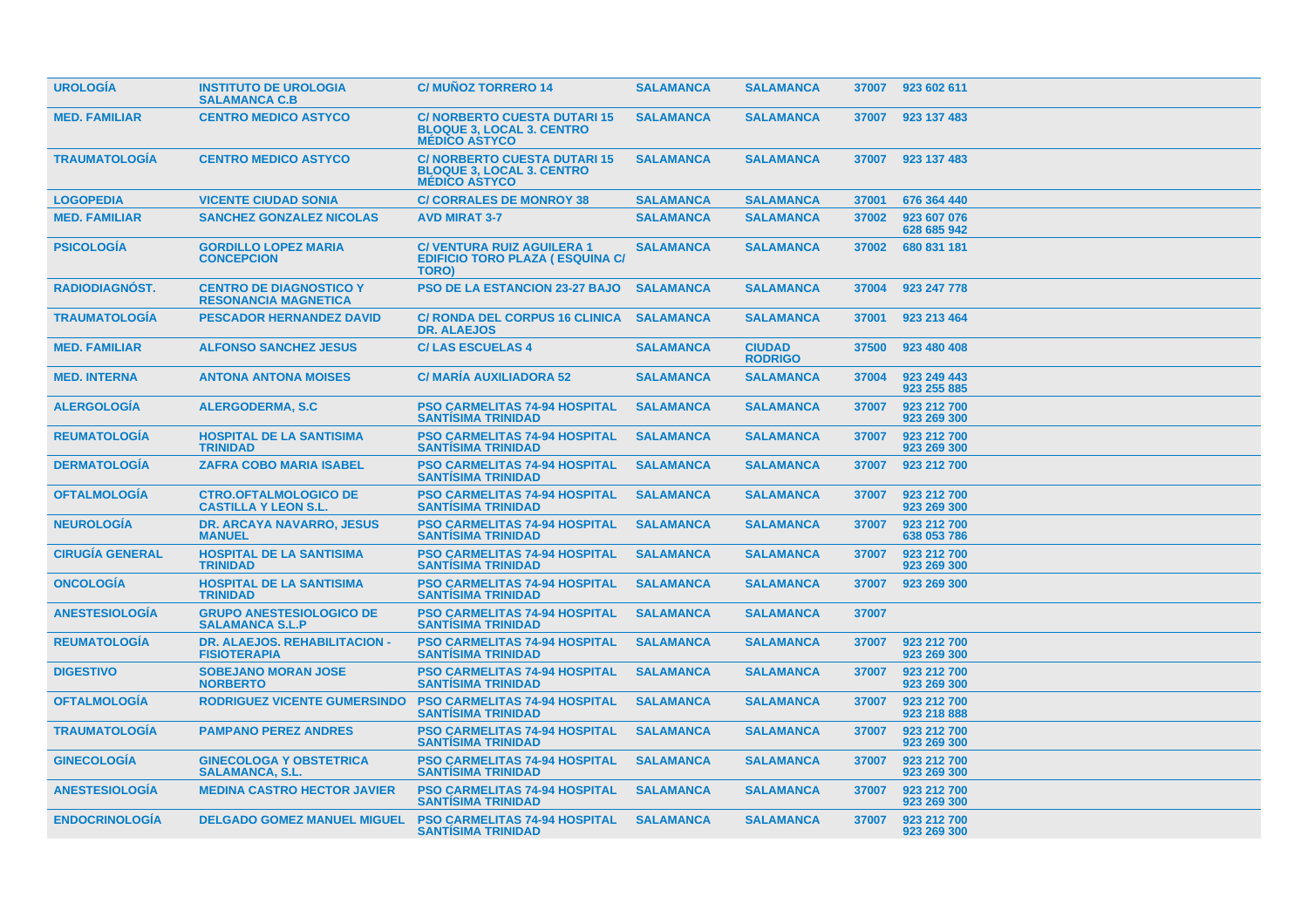| <b>UROLOGIA</b>        | <b>INSTITUTO DE UROLOGIA</b><br><b>SALAMANCA C.B</b>          | <b>C/MUÑOZ TORRERO 14</b>                                                                      | <b>SALAMANCA</b> | <b>SALAMANCA</b>                | 37007 | 923 602 611                |  |
|------------------------|---------------------------------------------------------------|------------------------------------------------------------------------------------------------|------------------|---------------------------------|-------|----------------------------|--|
| <b>MED. FAMILIAR</b>   | <b>CENTRO MEDICO ASTYCO</b>                                   | <b>C/NORBERTO CUESTA DUTARI 15</b><br><b>BLOQUE 3, LOCAL 3. CENTRO</b><br><b>MÉDICO ASTYCO</b> | <b>SALAMANCA</b> | <b>SALAMANCA</b>                | 37007 | 923 137 483                |  |
| <b>TRAUMATOLOGIA</b>   | <b>CENTRO MEDICO ASTYCO</b>                                   | <b>C/NORBERTO CUESTA DUTARI 15</b><br><b>BLOQUE 3, LOCAL 3. CENTRO</b><br><b>MÉDICO ASTYCO</b> | <b>SALAMANCA</b> | <b>SALAMANCA</b>                | 37007 | 923 137 483                |  |
| <b>LOGOPEDIA</b>       | <b>VICENTE CIUDAD SONIA</b>                                   | <b>C/CORRALES DE MONROY 38</b>                                                                 | <b>SALAMANCA</b> | <b>SALAMANCA</b>                | 37001 | 676 364 440                |  |
| <b>MED. FAMILIAR</b>   | <b>SANCHEZ GONZALEZ NICOLAS</b>                               | <b>AVD MIRAT 3-7</b>                                                                           | <b>SALAMANCA</b> | <b>SALAMANCA</b>                | 37002 | 923 607 076<br>628 685 942 |  |
| <b>PSICOLOGIA</b>      | <b>GORDILLO LOPEZ MARIA</b><br><b>CONCEPCION</b>              | <b>C/ VENTURA RUIZ AGUILERA 1</b><br><b>EDIFICIO TORO PLAZA (ESQUINA C/</b><br>TORO)           | <b>SALAMANCA</b> | <b>SALAMANCA</b>                | 37002 | 680 831 181                |  |
| <b>RADIODIAGNOST.</b>  | <b>CENTRO DE DIAGNOSTICO Y</b><br><b>RESONANCIA MAGNETICA</b> | <b>PSO DE LA ESTANCION 23-27 BAJO</b>                                                          | <b>SALAMANCA</b> | <b>SALAMANCA</b>                | 37004 | 923 247 778                |  |
| <b>TRAUMATOLOGIA</b>   | <b>PESCADOR HERNANDEZ DAVID</b>                               | <b>C/ RONDA DEL CORPUS 16 CLINICA</b><br><b>DR. ALAEJOS</b>                                    | <b>SALAMANCA</b> | <b>SALAMANCA</b>                | 37001 | 923 213 464                |  |
| <b>MED. FAMILIAR</b>   | <b>ALFONSO SANCHEZ JESUS</b>                                  | <b>C/LAS ESCUELAS 4</b>                                                                        | <b>SALAMANCA</b> | <b>CIUDAD</b><br><b>RODRIGO</b> | 37500 | 923 480 408                |  |
| <b>MED. INTERNA</b>    | <b>ANTONA ANTONA MOISES</b>                                   | <b>C/ MARIA AUXILIADORA 52</b>                                                                 | <b>SALAMANCA</b> | <b>SALAMANCA</b>                | 37004 | 923 249 443<br>923 255 885 |  |
| <b>ALERGOLOGIA</b>     | <b>ALERGODERMA, S.C.</b>                                      | <b>PSO CARMELITAS 74-94 HOSPITAL</b><br><b>SANTISIMA TRINIDAD</b>                              | <b>SALAMANCA</b> | <b>SALAMANCA</b>                | 37007 | 923 212 700<br>923 269 300 |  |
| <b>REUMATOLOGIA</b>    | <b>HOSPITAL DE LA SANTISIMA</b><br><b>TRINIDAD</b>            | <b>PSO CARMELITAS 74-94 HOSPITAL</b><br><b>SANTISIMA TRINIDAD</b>                              | <b>SALAMANCA</b> | <b>SALAMANCA</b>                | 37007 | 923 212 700<br>923 269 300 |  |
| <b>DERMATOLOGIA</b>    | <b>ZAFRA COBO MARIA ISABEL</b>                                | <b>PSO CARMELITAS 74-94 HOSPITAL</b><br><b>SANTISIMA TRINIDAD</b>                              | <b>SALAMANCA</b> | <b>SALAMANCA</b>                | 37007 | 923 212 700                |  |
| <b>OFTALMOLOGIA</b>    | <b>CTRO.OFTALMOLOGICO DE</b><br><b>CASTILLA Y LEON S.L.</b>   | <b>PSO CARMELITAS 74-94 HOSPITAL</b><br><b>SANTISIMA TRINIDAD</b>                              | <b>SALAMANCA</b> | <b>SALAMANCA</b>                | 37007 | 923 212 700<br>923 269 300 |  |
| <b>NEUROLOGÍA</b>      | <b>DR. ARCAYA NAVARRO, JESUS</b><br><b>MANUEL</b>             | <b>PSO CARMELITAS 74-94 HOSPITAL</b><br><b>SANTISIMA TRINIDAD</b>                              | <b>SALAMANCA</b> | <b>SALAMANCA</b>                | 37007 | 923 212 700<br>638 053 786 |  |
| <b>CIRUGIA GENERAL</b> | <b>HOSPITAL DE LA SANTISIMA</b><br><b>TRINIDAD</b>            | <b>PSO CARMELITAS 74-94 HOSPITAL</b><br><b>SANTÍSIMA TRINIDAD</b>                              | <b>SALAMANCA</b> | <b>SALAMANCA</b>                | 37007 | 923 212 700<br>923 269 300 |  |
| <b>ONCOLOGIA</b>       | <b>HOSPITAL DE LA SANTISIMA</b><br><b>TRINIDAD</b>            | <b>PSO CARMELITAS 74-94 HOSPITAL</b><br><b>SANTISIMA TRINIDAD</b>                              | <b>SALAMANCA</b> | <b>SALAMANCA</b>                | 37007 | 923 269 300                |  |
| <b>ANESTESIOLOGIA</b>  | <b>GRUPO ANESTESIOLOGICO DE</b><br><b>SALAMANCA S.L.P</b>     | <b>PSO CARMELITAS 74-94 HOSPITAL</b><br><b>SANTISIMA TRINIDAD</b>                              | <b>SALAMANCA</b> | <b>SALAMANCA</b>                | 37007 |                            |  |
| <b>REUMATOLOGIA</b>    | DR. ALAEJOS. REHABILITACION -<br><b>FISIOTERAPIA</b>          | <b>PSO CARMELITAS 74-94 HOSPITAL</b><br><b>SANTISIMA TRINIDAD</b>                              | <b>SALAMANCA</b> | <b>SALAMANCA</b>                | 37007 | 923 212 700<br>923 269 300 |  |
| <b>DIGESTIVO</b>       | <b>SOBEJANO MORAN JOSE</b><br><b>NORBERTO</b>                 | <b>PSO CARMELITAS 74-94 HOSPITAL</b><br><b>SANTISIMA TRINIDAD</b>                              | <b>SALAMANCA</b> | <b>SALAMANCA</b>                | 37007 | 923 212 700<br>923 269 300 |  |
| <b>OFTALMOLOGIA</b>    | <b>RODRIGUEZ VICENTE GUMERSINDO</b>                           | <b>PSO CARMELITAS 74-94 HOSPITAL</b><br><b>SANTISIMA TRINIDAD</b>                              | <b>SALAMANCA</b> | <b>SALAMANCA</b>                | 37007 | 923 212 700<br>923 218 888 |  |
| <b>TRAUMATOLOGIA</b>   | <b>PAMPANO PEREZ ANDRES</b>                                   | <b>PSO CARMELITAS 74-94 HOSPITAL</b><br><b>SANTISIMA TRINIDAD</b>                              | <b>SALAMANCA</b> | <b>SALAMANCA</b>                | 37007 | 923 212 700<br>923 269 300 |  |
| <b>GINECOLOGIA</b>     | <b>GINECOLOGA Y OBSTETRICA</b><br><b>SALAMANCA, S.L.</b>      | <b>PSO CARMELITAS 74-94 HOSPITAL</b><br><b>SANTISIMA TRINIDAD</b>                              | <b>SALAMANCA</b> | <b>SALAMANCA</b>                | 37007 | 923 212 700<br>923 269 300 |  |
| <b>ANESTESIOLOGIA</b>  | <b>MEDINA CASTRO HECTOR JAVIER</b>                            | <b>PSO CARMELITAS 74-94 HOSPITAL</b><br><b>SANTISIMA TRINIDAD</b>                              | <b>SALAMANCA</b> | <b>SALAMANCA</b>                | 37007 | 923 212 700<br>923 269 300 |  |
| <b>ENDOCRINOLOGIA</b>  | <b>DELGADO GOMEZ MANUEL MIGUEL</b>                            | <b>PSO CARMELITAS 74-94 HOSPITAL</b><br><b>SANTISIMA TRINIDAD</b>                              | <b>SALAMANCA</b> | <b>SALAMANCA</b>                | 37007 | 923 212 700<br>923 269 300 |  |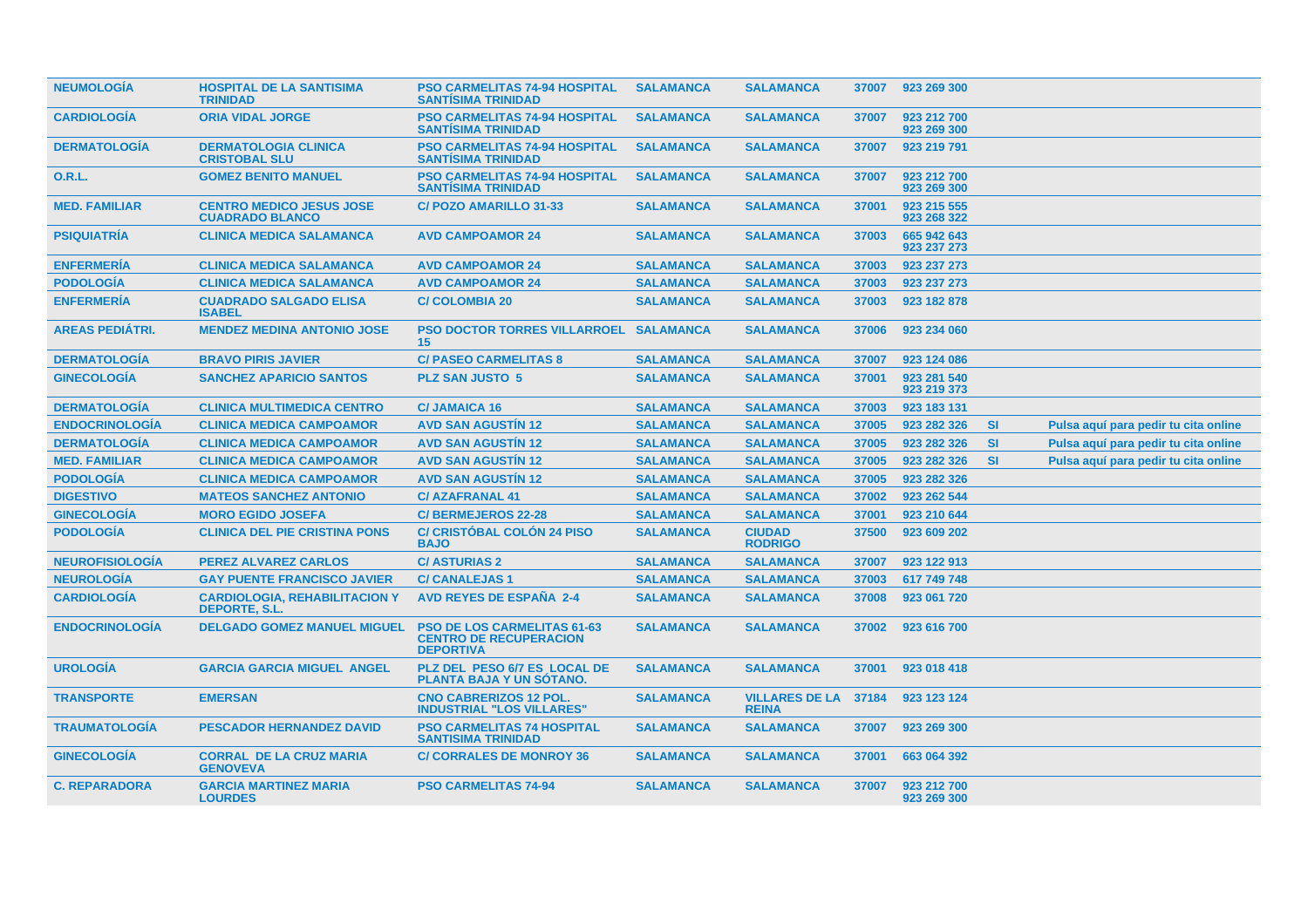| <b>NEUMOLOGÍA</b>      | <b>HOSPITAL DE LA SANTISIMA</b><br><b>TRINIDAD</b>        | <b>PSO CARMELITAS 74-94 HOSPITAL</b><br><b>SANTISIMA TRINIDAD</b>                       | <b>SALAMANCA</b> | <b>SALAMANCA</b>                      | 37007 | 923 269 300                |           |                                      |
|------------------------|-----------------------------------------------------------|-----------------------------------------------------------------------------------------|------------------|---------------------------------------|-------|----------------------------|-----------|--------------------------------------|
| <b>CARDIOLOGÍA</b>     | <b>ORIA VIDAL JORGE</b>                                   | <b>PSO CARMELITAS 74-94 HOSPITAL</b><br><b>SANTISIMA TRINIDAD</b>                       | <b>SALAMANCA</b> | <b>SALAMANCA</b>                      | 37007 | 923 212 700<br>923 269 300 |           |                                      |
| <b>DERMATOLOGÍA</b>    | <b>DERMATOLOGIA CLINICA</b><br><b>CRISTOBAL SLU</b>       | <b>PSO CARMELITAS 74-94 HOSPITAL</b><br><b>SANTISIMA TRINIDAD</b>                       | <b>SALAMANCA</b> | <b>SALAMANCA</b>                      | 37007 | 923 219 791                |           |                                      |
| <b>O.R.L.</b>          | <b>GOMEZ BENITO MANUEL</b>                                | <b>PSO CARMELITAS 74-94 HOSPITAL</b><br><b>SANTISIMA TRINIDAD</b>                       | <b>SALAMANCA</b> | <b>SALAMANCA</b>                      | 37007 | 923 212 700<br>923 269 300 |           |                                      |
| <b>MED. FAMILIAR</b>   | <b>CENTRO MEDICO JESUS JOSE</b><br><b>CUADRADO BLANCO</b> | <b>C/POZO AMARILLO 31-33</b>                                                            | <b>SALAMANCA</b> | <b>SALAMANCA</b>                      | 37001 | 923 215 555<br>923 268 322 |           |                                      |
| <b>PSIQUIATRÍA</b>     | <b>CLINICA MEDICA SALAMANCA</b>                           | <b>AVD CAMPOAMOR 24</b>                                                                 | <b>SALAMANCA</b> | <b>SALAMANCA</b>                      | 37003 | 665 942 643<br>923 237 273 |           |                                      |
| <b>ENFERMERÍA</b>      | <b>CLINICA MEDICA SALAMANCA</b>                           | <b>AVD CAMPOAMOR 24</b>                                                                 | <b>SALAMANCA</b> | <b>SALAMANCA</b>                      | 37003 | 923 237 273                |           |                                      |
| <b>PODOLOGÍA</b>       | <b>CLINICA MEDICA SALAMANCA</b>                           | <b>AVD CAMPOAMOR 24</b>                                                                 | <b>SALAMANCA</b> | <b>SALAMANCA</b>                      | 37003 | 923 237 273                |           |                                      |
| <b>ENFERMERÍA</b>      | <b>CUADRADO SALGADO ELISA</b><br><b>ISABEL</b>            | <b>C/COLOMBIA 20</b>                                                                    | <b>SALAMANCA</b> | <b>SALAMANCA</b>                      | 37003 | 923 182 878                |           |                                      |
| <b>AREAS PEDIÁTRI.</b> | <b>MENDEZ MEDINA ANTONIO JOSE</b>                         | <b>PSO DOCTOR TORRES VILLARROEL SALAMANCA</b><br>15 <sup>15</sup>                       |                  | <b>SALAMANCA</b>                      | 37006 | 923 234 060                |           |                                      |
| <b>DERMATOLOGIA</b>    | <b>BRAVO PIRIS JAVIER</b>                                 | <b>C/ PASEO CARMELITAS 8</b>                                                            | <b>SALAMANCA</b> | <b>SALAMANCA</b>                      | 37007 | 923 124 086                |           |                                      |
| <b>GINECOLOGÍA</b>     | <b>SANCHEZ APARICIO SANTOS</b>                            | <b>PLZ SAN JUSTO 5</b>                                                                  | <b>SALAMANCA</b> | <b>SALAMANCA</b>                      | 37001 | 923 281 540<br>923 219 373 |           |                                      |
| <b>DERMATOLOGÍA</b>    | <b>CLINICA MULTIMEDICA CENTRO</b>                         | <b>C/JAMAICA 16</b>                                                                     | <b>SALAMANCA</b> | <b>SALAMANCA</b>                      | 37003 | 923 183 131                |           |                                      |
| <b>ENDOCRINOLOGÍA</b>  | <b>CLINICA MEDICA CAMPOAMOR</b>                           | <b>AVD SAN AGUSTIN 12</b>                                                               | <b>SALAMANCA</b> | <b>SALAMANCA</b>                      | 37005 | 923 282 326                | <b>SI</b> | Pulsa aquí para pedir tu cita online |
| <b>DERMATOLOGÍA</b>    | <b>CLINICA MEDICA CAMPOAMOR</b>                           | <b>AVD SAN AGUSTIN 12</b>                                                               | <b>SALAMANCA</b> | <b>SALAMANCA</b>                      | 37005 | 923 282 326                | <b>SI</b> | Pulsa aquí para pedir tu cita online |
| <b>MED. FAMILIAR</b>   | <b>CLINICA MEDICA CAMPOAMOR</b>                           | <b>AVD SAN AGUSTIN 12</b>                                                               | <b>SALAMANCA</b> | <b>SALAMANCA</b>                      | 37005 | 923 282 326                | <b>SI</b> | Pulsa aquí para pedir tu cita online |
| <b>PODOLOGÍA</b>       | <b>CLINICA MEDICA CAMPOAMOR</b>                           | <b>AVD SAN AGUSTIN 12</b>                                                               | <b>SALAMANCA</b> | <b>SALAMANCA</b>                      | 37005 | 923 282 326                |           |                                      |
| <b>DIGESTIVO</b>       | <b>MATEOS SANCHEZ ANTONIO</b>                             | <b>C/AZAFRANAL 41</b>                                                                   | <b>SALAMANCA</b> | <b>SALAMANCA</b>                      | 37002 | 923 262 544                |           |                                      |
| <b>GINECOLOGÍA</b>     | <b>MORO EGIDO JOSEFA</b>                                  | <b>C/BERMEJEROS 22-28</b>                                                               | <b>SALAMANCA</b> | <b>SALAMANCA</b>                      | 37001 | 923 210 644                |           |                                      |
| <b>PODOLOGÍA</b>       | <b>CLINICA DEL PIE CRISTINA PONS</b>                      | <b>C/ CRISTÓBAL COLÓN 24 PISO</b><br><b>BAJO</b>                                        | <b>SALAMANCA</b> | <b>CIUDAD</b><br><b>RODRIGO</b>       | 37500 | 923 609 202                |           |                                      |
| <b>NEUROFISIOLOGIA</b> | <b>PEREZ ALVAREZ CARLOS</b>                               | <b>C/ASTURIAS 2</b>                                                                     | <b>SALAMANCA</b> | <b>SALAMANCA</b>                      | 37007 | 923 122 913                |           |                                      |
| <b>NEUROLOGÍA</b>      | <b>GAY PUENTE FRANCISCO JAVIER</b>                        | <b>C/ CANALEJAS 1</b>                                                                   | <b>SALAMANCA</b> | <b>SALAMANCA</b>                      | 37003 | 617 749 748                |           |                                      |
| <b>CARDIOLOGIA</b>     | <b>CARDIOLOGIA, REHABILITACION Y</b><br>DEPORTE, S.L.     | <b>AVD REYES DE ESPAÑA 2-4</b>                                                          | <b>SALAMANCA</b> | <b>SALAMANCA</b>                      | 37008 | 923 061 720                |           |                                      |
| <b>ENDOCRINOLOGÍA</b>  | <b>DELGADO GOMEZ MANUEL MIGUEL</b>                        | <b>PSO DE LOS CARMELITAS 61-63</b><br><b>CENTRO DE RECUPERACION</b><br><b>DEPORTIVA</b> | <b>SALAMANCA</b> | <b>SALAMANCA</b>                      | 37002 | 923 616 700                |           |                                      |
| <b>UROLOGÍA</b>        | <b>GARCIA GARCIA MIGUEL ANGEL</b>                         | PLZ DEL PESO 6/7 ES LOCAL DE<br>PLANTA BAJA Y UN SÓTANO.                                | <b>SALAMANCA</b> | <b>SALAMANCA</b>                      | 37001 | 923 018 418                |           |                                      |
| <b>TRANSPORTE</b>      | <b>EMERSAN</b>                                            | <b>CNO CABRERIZOS 12 POL.</b><br><b>INDUSTRIAL "LOS VILLARES"</b>                       | <b>SALAMANCA</b> | <b>VILLARES DE LA</b><br><b>REINA</b> | 37184 | 923 123 124                |           |                                      |
| <b>TRAUMATOLOGIA</b>   | <b>PESCADOR HERNANDEZ DAVID</b>                           | <b>PSO CARMELITAS 74 HOSPITAL</b><br><b>SANTISIMA TRINIDAD</b>                          | <b>SALAMANCA</b> | <b>SALAMANCA</b>                      | 37007 | 923 269 300                |           |                                      |
| <b>GINECOLOGIA</b>     | <b>CORRAL DE LA CRUZ MARIA</b><br><b>GENOVEVA</b>         | <b>C/ CORRALES DE MONROY 36</b>                                                         | <b>SALAMANCA</b> | <b>SALAMANCA</b>                      | 37001 | 663 064 392                |           |                                      |
| <b>C. REPARADORA</b>   | <b>GARCIA MARTINEZ MARIA</b><br><b>LOURDES</b>            | <b>PSO CARMELITAS 74-94</b>                                                             | <b>SALAMANCA</b> | <b>SALAMANCA</b>                      | 37007 | 923 212 700<br>923 269 300 |           |                                      |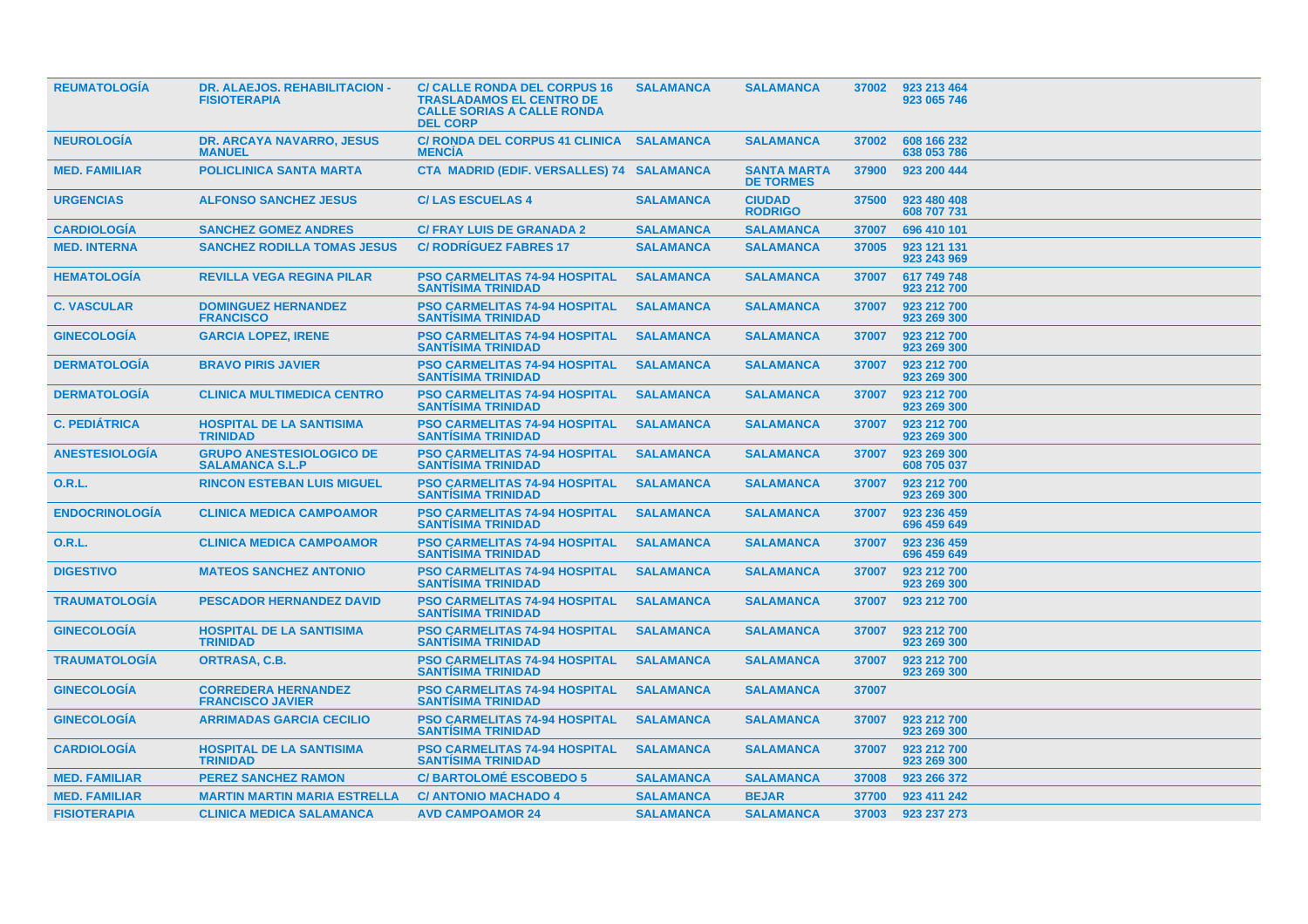| DR. ALAEJOS. REHABILITACION -<br><b>FISIOTERAPIA</b>      | <b>C/ CALLE RONDA DEL CORPUS 16</b><br><b>TRASLADAMOS EL CENTRO DE</b><br><b>CALLE SORIAS A CALLE RONDA</b><br><b>DEL CORP</b> | <b>SALAMANCA</b> | <b>SALAMANCA</b>                          | 37002 | 923 213 464<br>923 065 746 |
|-----------------------------------------------------------|--------------------------------------------------------------------------------------------------------------------------------|------------------|-------------------------------------------|-------|----------------------------|
| <b>DR. ARCAYA NAVARRO, JESUS</b><br><b>MANUEL</b>         | <b>C/ RONDA DEL CORPUS 41 CLINICA</b><br><b>MENCIA</b>                                                                         | <b>SALAMANCA</b> | <b>SALAMANCA</b>                          | 37002 | 608 166 232<br>638 053 786 |
| <b>POLICLINICA SANTA MARTA</b>                            |                                                                                                                                |                  | <b>SANTA MARTA</b><br><b>DE TORMES</b>    | 37900 | 923 200 444                |
| <b>ALFONSO SANCHEZ JESUS</b>                              | <b>C/LAS ESCUELAS 4</b>                                                                                                        | <b>SALAMANCA</b> | <b>CIUDAD</b><br><b>RODRIGO</b>           | 37500 | 923 480 408<br>608 707 731 |
| <b>SANCHEZ GOMEZ ANDRES</b>                               | <b>C/ FRAY LUIS DE GRANADA 2</b>                                                                                               | <b>SALAMANCA</b> | <b>SALAMANCA</b>                          | 37007 | 696 410 101                |
| <b>SANCHEZ RODILLA TOMAS JESUS</b>                        | <b>C/ RODRÍGUEZ FABRES 17</b>                                                                                                  | <b>SALAMANCA</b> | <b>SALAMANCA</b>                          | 37005 | 923 121 131<br>923 243 969 |
| <b>REVILLA VEGA REGINA PILAR</b>                          | <b>PSO CARMELITAS 74-94 HOSPITAL</b><br><b>SANTISIMA TRINIDAD</b>                                                              | <b>SALAMANCA</b> | <b>SALAMANCA</b>                          | 37007 | 617 749 748<br>923 212 700 |
| <b>DOMINGUEZ HERNANDEZ</b><br><b>FRANCISCO</b>            | <b>PSO CARMELITAS 74-94 HOSPITAL</b><br><b>SANTISIMA TRINIDAD</b>                                                              | <b>SALAMANCA</b> | <b>SALAMANCA</b>                          | 37007 | 923 212 700<br>923 269 300 |
| <b>GARCIA LOPEZ, IRENE</b>                                | <b>PSO CARMELITAS 74-94 HOSPITAL</b><br><b>SANTISIMA TRINIDAD</b>                                                              | <b>SALAMANCA</b> | <b>SALAMANCA</b>                          | 37007 | 923 212 700<br>923 269 300 |
| <b>BRAVO PIRIS JAVIER</b>                                 | <b>PSO CARMELITAS 74-94 HOSPITAL</b><br><b>SANTISIMA TRINIDAD</b>                                                              | <b>SALAMANCA</b> | <b>SALAMANCA</b>                          | 37007 | 923 212 700<br>923 269 300 |
| <b>CLINICA MULTIMEDICA CENTRO</b>                         | <b>PSO CARMELITAS 74-94 HOSPITAL</b><br><b>SANTISIMA TRINIDAD</b>                                                              | <b>SALAMANCA</b> | <b>SALAMANCA</b>                          | 37007 | 923 212 700<br>923 269 300 |
| <b>HOSPITAL DE LA SANTISIMA</b><br><b>TRINIDAD</b>        | <b>PSO CARMELITAS 74-94 HOSPITAL</b><br><b>SANTISIMA TRINIDAD</b>                                                              | <b>SALAMANCA</b> | <b>SALAMANCA</b>                          | 37007 | 923 212 700<br>923 269 300 |
| <b>GRUPO ANESTESIOLOGICO DE</b><br><b>SALAMANCA S.L.P</b> | <b>PSO CARMELITAS 74-94 HOSPITAL</b><br><b>SANTISIMA TRINIDAD</b>                                                              | <b>SALAMANCA</b> | <b>SALAMANCA</b>                          | 37007 | 923 269 300<br>608 705 037 |
| <b>RINCON ESTEBAN LUIS MIGUEL</b>                         | <b>PSO CARMELITAS 74-94 HOSPITAL</b><br><b>SANTISIMA TRINIDAD</b>                                                              | <b>SALAMANCA</b> | <b>SALAMANCA</b>                          | 37007 | 923 212 700<br>923 269 300 |
| <b>CLINICA MEDICA CAMPOAMOR</b>                           | <b>PSO CARMELITAS 74-94 HOSPITAL</b><br><b>SANTISIMA TRINIDAD</b>                                                              | <b>SALAMANCA</b> | <b>SALAMANCA</b>                          | 37007 | 923 236 459<br>696 459 649 |
| <b>CLINICA MEDICA CAMPOAMOR</b>                           | <b>PSO CARMELITAS 74-94 HOSPITAL</b><br><b>SANTISIMA TRINIDAD</b>                                                              | <b>SALAMANCA</b> | <b>SALAMANCA</b>                          | 37007 | 923 236 459<br>696 459 649 |
| <b>MATEOS SANCHEZ ANTONIO</b>                             | <b>PSO CARMELITAS 74-94 HOSPITAL</b><br><b>SANTISIMA TRINIDAD</b>                                                              | <b>SALAMANCA</b> | <b>SALAMANCA</b>                          | 37007 | 923 212 700<br>923 269 300 |
| <b>PESCADOR HERNANDEZ DAVID</b>                           | <b>PSO CARMELITAS 74-94 HOSPITAL</b><br><b>SANTISIMA TRINIDAD</b>                                                              | <b>SALAMANCA</b> | <b>SALAMANCA</b>                          | 37007 | 923 212 700                |
| <b>HOSPITAL DE LA SANTISIMA</b><br><b>TRINIDAD</b>        | <b>PSO CARMELITAS 74-94 HOSPITAL</b><br><b>SANTISIMA TRINIDAD</b>                                                              | <b>SALAMANCA</b> | <b>SALAMANCA</b>                          | 37007 | 923 212 700<br>923 269 300 |
| <b>ORTRASA, C.B.</b>                                      | <b>PSO CARMELITAS 74-94 HOSPITAL</b><br><b>SANTISIMA TRINIDAD</b>                                                              | <b>SALAMANCA</b> | <b>SALAMANCA</b>                          | 37007 | 923 212 700<br>923 269 300 |
| <b>CORREDERA HERNANDEZ</b><br><b>FRANCISCO JAVIER</b>     | <b>PSO CARMELITAS 74-94 HOSPITAL</b><br><b>SANTISIMA TRINIDAD</b>                                                              | <b>SALAMANCA</b> | <b>SALAMANCA</b>                          | 37007 |                            |
| <b>ARRIMADAS GARCIA CECILIO</b>                           | <b>PSO CARMELITAS 74-94 HOSPITAL</b><br><b>SANTISIMA TRINIDAD</b>                                                              | <b>SALAMANCA</b> | <b>SALAMANCA</b>                          | 37007 | 923 212 700<br>923 269 300 |
| <b>HOSPITAL DE LA SANTISIMA</b><br><b>TRINIDAD</b>        | <b>PSO CARMELITAS 74-94 HOSPITAL</b><br><b>SANTISIMA TRINIDAD</b>                                                              | <b>SALAMANCA</b> | <b>SALAMANCA</b>                          | 37007 | 923 212 700<br>923 269 300 |
| <b>PEREZ SANCHEZ RAMON</b>                                | <b>C/BARTOLOMÉ ESCOBEDO 5</b>                                                                                                  | <b>SALAMANCA</b> | <b>SALAMANCA</b>                          | 37008 | 923 266 372                |
| <b>MARTIN MARTIN MARIA ESTRELLA</b>                       | <b>C/ ANTONIO MACHADO 4</b>                                                                                                    | <b>SALAMANCA</b> | <b>BEJAR</b>                              | 37700 | 923 411 242                |
| <b>CLINICA MEDICA SALAMANCA</b>                           | <b>AVD CAMPOAMOR 24</b>                                                                                                        | <b>SALAMANCA</b> | <b>SALAMANCA</b>                          | 37003 | 923 237 273                |
|                                                           |                                                                                                                                |                  | CTA MADRID (EDIF. VERSALLES) 74 SALAMANCA |       |                            |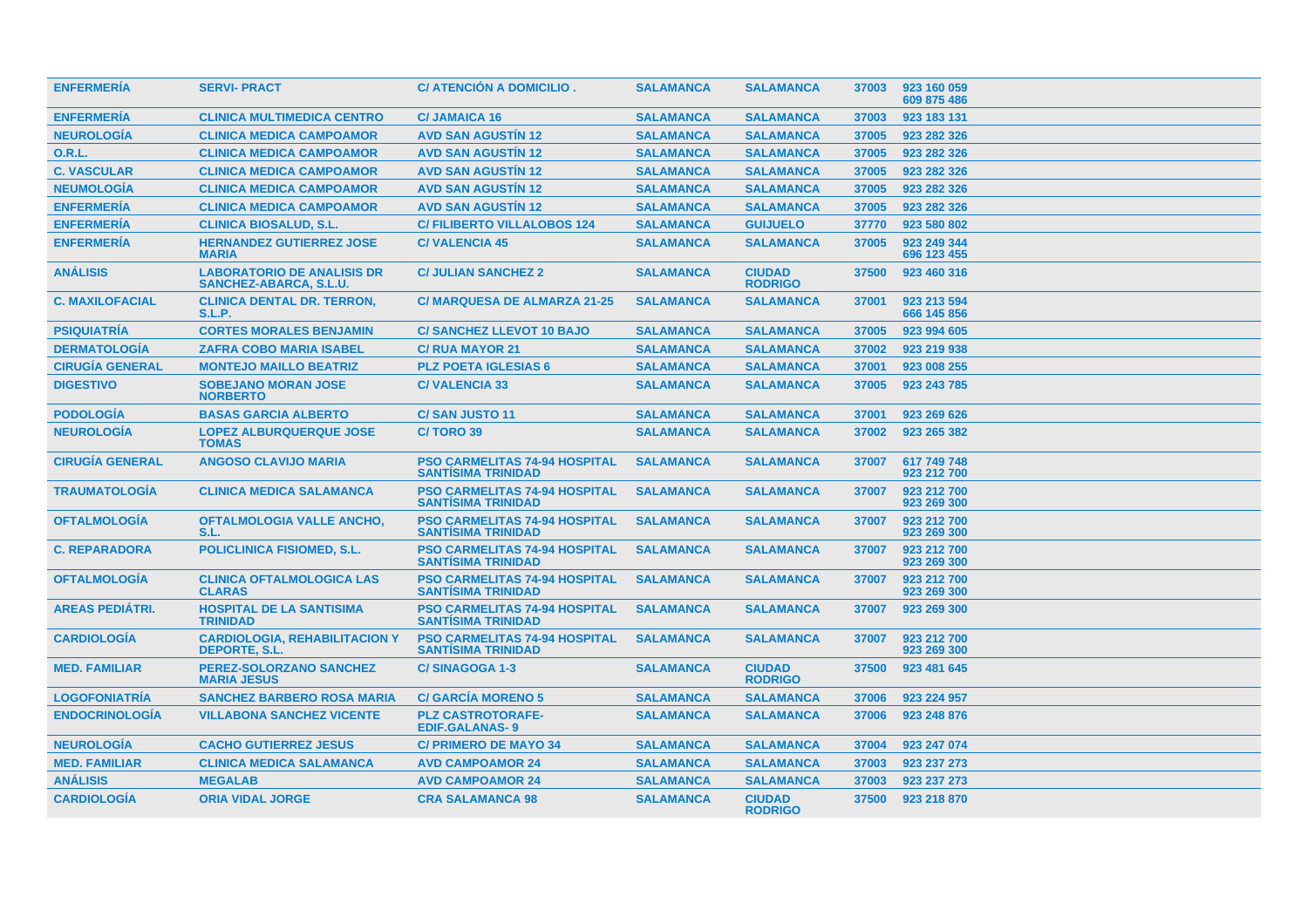| <b>ENFERMERÍA</b>      | <b>SERVI-PRACT</b>                                           | C/ ATENCIÓN A DOMICILIO.                                          | <b>SALAMANCA</b> | <b>SALAMANCA</b>                |       | 37003 923 160 059<br>609 875 486 |
|------------------------|--------------------------------------------------------------|-------------------------------------------------------------------|------------------|---------------------------------|-------|----------------------------------|
| <b>ENFERMERÍA</b>      | <b>CLINICA MULTIMEDICA CENTRO</b>                            | <b>C/JAMAICA 16</b>                                               | <b>SALAMANCA</b> | <b>SALAMANCA</b>                | 37003 | 923 183 131                      |
| <b>NEUROLOGÍA</b>      | <b>CLINICA MEDICA CAMPOAMOR</b>                              | <b>AVD SAN AGUSTIN 12</b>                                         | <b>SALAMANCA</b> | <b>SALAMANCA</b>                | 37005 | 923 282 326                      |
| <b>O.R.L.</b>          | <b>CLINICA MEDICA CAMPOAMOR</b>                              | <b>AVD SAN AGUSTIN 12</b>                                         | <b>SALAMANCA</b> | <b>SALAMANCA</b>                | 37005 | 923 282 326                      |
| <b>C. VASCULAR</b>     | <b>CLINICA MEDICA CAMPOAMOR</b>                              | <b>AVD SAN AGUSTIN 12</b>                                         | <b>SALAMANCA</b> | <b>SALAMANCA</b>                | 37005 | 923 282 326                      |
| <b>NEUMOLOGÍA</b>      | <b>CLINICA MEDICA CAMPOAMOR</b>                              | <b>AVD SAN AGUSTIN 12</b>                                         | <b>SALAMANCA</b> | <b>SALAMANCA</b>                | 37005 | 923 282 326                      |
| <b>ENFERMERÍA</b>      | <b>CLINICA MEDICA CAMPOAMOR</b>                              | <b>AVD SAN AGUSTIN 12</b>                                         | <b>SALAMANCA</b> | <b>SALAMANCA</b>                | 37005 | 923 282 326                      |
| <b>ENFERMERÍA</b>      | <b>CLINICA BIOSALUD, S.L.</b>                                | <b>C/ FILIBERTO VILLALOBOS 124</b>                                | <b>SALAMANCA</b> | <b>GUIJUELO</b>                 | 37770 | 923 580 802                      |
| <b>ENFERMERÍA</b>      | <b>HERNANDEZ GUTIERREZ JOSE</b><br><b>MARIA</b>              | <b>C/VALENCIA 45</b>                                              | <b>SALAMANCA</b> | <b>SALAMANCA</b>                | 37005 | 923 249 344<br>696 123 455       |
| <b>ANÁLISIS</b>        | <b>LABORATORIO DE ANALISIS DR</b><br>SANCHEZ-ABARCA, S.L.U.  | <b>C/ JULIAN SANCHEZ 2</b>                                        | <b>SALAMANCA</b> | <b>CIUDAD</b><br><b>RODRIGO</b> | 37500 | 923 460 316                      |
| <b>C. MAXILOFACIAL</b> | <b>CLINICA DENTAL DR. TERRON.</b><br><b>S.L.P.</b>           | <b>C/MARQUESA DE ALMARZA 21-25</b>                                | <b>SALAMANCA</b> | <b>SALAMANCA</b>                | 37001 | 923 213 594<br>666 145 856       |
| <b>PSIQUIATRÍA</b>     | <b>CORTES MORALES BENJAMIN</b>                               | <b>C/ SANCHEZ LLEVOT 10 BAJO</b>                                  | <b>SALAMANCA</b> | <b>SALAMANCA</b>                | 37005 | 923 994 605                      |
| <b>DERMATOLOGÍA</b>    | <b>ZAFRA COBO MARIA ISABEL</b>                               | <b>C/ RUA MAYOR 21</b>                                            | <b>SALAMANCA</b> | <b>SALAMANCA</b>                | 37002 | 923 219 938                      |
| <b>CIRUGÍA GENERAL</b> | <b>MONTEJO MAILLO BEATRIZ</b>                                | <b>PLZ POETA IGLESIAS 6</b>                                       | <b>SALAMANCA</b> | <b>SALAMANCA</b>                | 37001 | 923 008 255                      |
| <b>DIGESTIVO</b>       | <b>SOBEJANO MORAN JOSE</b><br><b>NORBERTO</b>                | <b>C/VALENCIA 33</b>                                              | <b>SALAMANCA</b> | <b>SALAMANCA</b>                | 37005 | 923 243 785                      |
| <b>PODOLOGÍA</b>       | <b>BASAS GARCIA ALBERTO</b>                                  | <b>C/SAN JUSTO 11</b>                                             | <b>SALAMANCA</b> | <b>SALAMANCA</b>                | 37001 | 923 269 626                      |
| <b>NEUROLOGÍA</b>      | <b>LOPEZ ALBURQUERQUE JOSE</b><br><b>TOMAS</b>               | C/TORO 39                                                         | <b>SALAMANCA</b> | <b>SALAMANCA</b>                | 37002 | 923 265 382                      |
| <b>CIRUGIA GENERAL</b> | <b>ANGOSO CLAVIJO MARIA</b>                                  | <b>PSO CARMELITAS 74-94 HOSPITAL</b><br><b>SANTISIMA TRINIDAD</b> | <b>SALAMANCA</b> | <b>SALAMANCA</b>                | 37007 | 617 749 748<br>923 212 700       |
| <b>TRAUMATOLOGÍA</b>   | <b>CLINICA MEDICA SALAMANCA</b>                              | <b>PSO CARMELITAS 74-94 HOSPITAL</b><br><b>SANTISIMA TRINIDAD</b> | <b>SALAMANCA</b> | <b>SALAMANCA</b>                | 37007 | 923 212 700<br>923 269 300       |
| <b>OFTALMOLOGÍA</b>    | <b>OFTALMOLOGIA VALLE ANCHO,</b><br>S.L.                     | <b>PSO CARMELITAS 74-94 HOSPITAL</b><br><b>SANTÍSIMA TRINIDAD</b> | <b>SALAMANCA</b> | <b>SALAMANCA</b>                | 37007 | 923 212 700<br>923 269 300       |
| <b>C. REPARADORA</b>   | <b>POLICLINICA FISIOMED, S.L.</b>                            | <b>PSO CARMELITAS 74-94 HOSPITAL</b><br><b>SANTISIMA TRINIDAD</b> | <b>SALAMANCA</b> | <b>SALAMANCA</b>                | 37007 | 923 212 700<br>923 269 300       |
| <b>OFTALMOLOGÍA</b>    | <b>CLINICA OFTALMOLOGICA LAS</b><br><b>CLARAS</b>            | <b>PSO CARMELITAS 74-94 HOSPITAL</b><br><b>SANTISIMA TRINIDAD</b> | <b>SALAMANCA</b> | <b>SALAMANCA</b>                | 37007 | 923 212 700<br>923 269 300       |
| <b>AREAS PEDIATRI.</b> | <b>HOSPITAL DE LA SANTISIMA</b><br><b>TRINIDAD</b>           | <b>PSO CARMELITAS 74-94 HOSPITAL</b><br><b>SANTISIMA TRINIDAD</b> | <b>SALAMANCA</b> | <b>SALAMANCA</b>                | 37007 | 923 269 300                      |
| <b>CARDIOLOGÍA</b>     | <b>CARDIOLOGIA, REHABILITACION Y</b><br><b>DEPORTE, S.L.</b> | <b>PSO CARMELITAS 74-94 HOSPITAL</b><br><b>SANTISIMA TRINIDAD</b> | <b>SALAMANCA</b> | <b>SALAMANCA</b>                | 37007 | 923 212 700<br>923 269 300       |
| <b>MED. FAMILIAR</b>   | <b>PEREZ-SOLORZANO SANCHEZ</b><br><b>MARIA JESUS</b>         | <b>C/SINAGOGA 1-3</b>                                             | <b>SALAMANCA</b> | <b>CIUDAD</b><br><b>RODRIGO</b> | 37500 | 923 481 645                      |
| <b>LOGOFONIATRÍA</b>   | <b>SANCHEZ BARBERO ROSA MARIA</b>                            | <b>C/ GARCIA MORENO 5</b>                                         | <b>SALAMANCA</b> | <b>SALAMANCA</b>                | 37006 | 923 224 957                      |
| <b>ENDOCRINOLOGÍA</b>  | <b>VILLABONA SANCHEZ VICENTE</b>                             | <b>PLZ CASTROTORAFE-</b><br><b>EDIF.GALANAS-9</b>                 | <b>SALAMANCA</b> | <b>SALAMANCA</b>                | 37006 | 923 248 876                      |
| <b>NEUROLOGÍA</b>      | <b>CACHO GUTIERREZ JESUS</b>                                 | <b>C/ PRIMERO DE MAYO 34</b>                                      | <b>SALAMANCA</b> | <b>SALAMANCA</b>                | 37004 | 923 247 074                      |
| <b>MED. FAMILIAR</b>   | <b>CLINICA MEDICA SALAMANCA</b>                              | <b>AVD CAMPOAMOR 24</b>                                           | <b>SALAMANCA</b> | <b>SALAMANCA</b>                | 37003 | 923 237 273                      |
| <b>ANÁLISIS</b>        | <b>MEGALAB</b>                                               | <b>AVD CAMPOAMOR 24</b>                                           | <b>SALAMANCA</b> | <b>SALAMANCA</b>                | 37003 | 923 237 273                      |
| <b>CARDIOLOGÍA</b>     | <b>ORIA VIDAL JORGE</b>                                      | <b>CRA SALAMANCA 98</b>                                           | <b>SALAMANCA</b> | <b>CIUDAD</b><br><b>RODRIGO</b> |       | 37500 923 218 870                |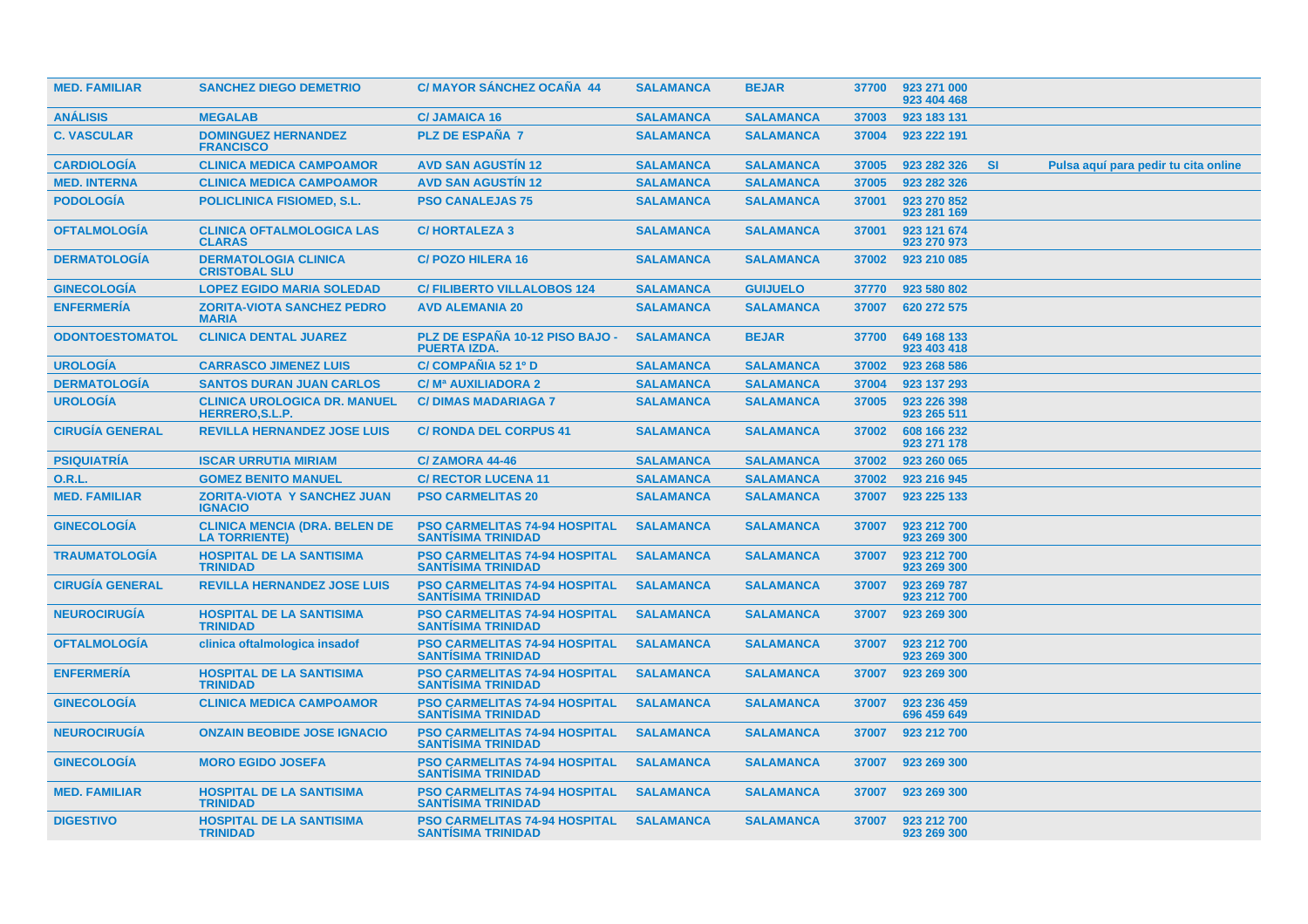| <b>MED. FAMILIAR</b>   | <b>SANCHEZ DIEGO DEMETRIO</b>                                 | C/ MAYOR SÁNCHEZ OCAÑA 44                                         | <b>SALAMANCA</b> | <b>BEJAR</b>     | 37700 | 923 271 000<br>923 404 468 |           |                                      |
|------------------------|---------------------------------------------------------------|-------------------------------------------------------------------|------------------|------------------|-------|----------------------------|-----------|--------------------------------------|
| <b>ANÁLISIS</b>        | <b>MEGALAB</b>                                                | <b>C/JAMAICA 16</b>                                               | <b>SALAMANCA</b> | <b>SALAMANCA</b> | 37003 | 923 183 131                |           |                                      |
| <b>C. VASCULAR</b>     | <b>DOMINGUEZ HERNANDEZ</b><br><b>FRANCISCO</b>                | <b>PLZ DE ESPAÑA 7</b>                                            | <b>SALAMANCA</b> | <b>SALAMANCA</b> | 37004 | 923 222 191                |           |                                      |
| <b>CARDIOLOGÍA</b>     | <b>CLINICA MEDICA CAMPOAMOR</b>                               | <b>AVD SAN AGUSTIN 12</b>                                         | <b>SALAMANCA</b> | <b>SALAMANCA</b> | 37005 | 923 282 326                | <b>SI</b> | Pulsa aquí para pedir tu cita online |
| <b>MED. INTERNA</b>    | <b>CLINICA MEDICA CAMPOAMOR</b>                               | <b>AVD SAN AGUSTIN 12</b>                                         | <b>SALAMANCA</b> | <b>SALAMANCA</b> | 37005 | 923 282 326                |           |                                      |
| <b>PODOLOGÍA</b>       | <b>POLICLINICA FISIOMED, S.L.</b>                             | <b>PSO CANALEJAS 75</b>                                           | <b>SALAMANCA</b> | <b>SALAMANCA</b> | 37001 | 923 270 852<br>923 281 169 |           |                                      |
| <b>OFTALMOLOGÍA</b>    | <b>CLINICA OFTALMOLOGICA LAS</b><br><b>CLARAS</b>             | <b>C/HORTALEZA 3</b>                                              | <b>SALAMANCA</b> | <b>SALAMANCA</b> | 37001 | 923 121 674<br>923 270 973 |           |                                      |
| <b>DERMATOLOGIA</b>    | <b>DERMATOLOGIA CLINICA</b><br><b>CRISTOBAL SLU</b>           | <b>C/POZO HILERA 16</b>                                           | <b>SALAMANCA</b> | <b>SALAMANCA</b> | 37002 | 923 210 085                |           |                                      |
| <b>GINECOLOGÍA</b>     | <b>LOPEZ EGIDO MARIA SOLEDAD</b>                              | <b>C/ FILIBERTO VILLALOBOS 124</b>                                | <b>SALAMANCA</b> | <b>GUIJUELO</b>  | 37770 | 923 580 802                |           |                                      |
| <b>ENFERMERÍA</b>      | <b>ZORITA-VIOTA SANCHEZ PEDRO</b><br><b>MARIA</b>             | <b>AVD ALEMANIA 20</b>                                            | <b>SALAMANCA</b> | <b>SALAMANCA</b> | 37007 | 620 272 575                |           |                                      |
| <b>ODONTOESTOMATOL</b> | <b>CLINICA DENTAL JUAREZ</b>                                  | PLZ DE ESPAÑA 10-12 PISO BAJO -<br><b>PUERTA IZDA.</b>            | <b>SALAMANCA</b> | <b>BEJAR</b>     | 37700 | 649 168 133<br>923 403 418 |           |                                      |
| <b>UROLOGÍA</b>        | <b>CARRASCO JIMENEZ LUIS</b>                                  | C/ COMPAÑIA 52 1º D                                               | <b>SALAMANCA</b> | <b>SALAMANCA</b> | 37002 | 923 268 586                |           |                                      |
| <b>DERMATOLOGÍA</b>    | <b>SANTOS DURAN JUAN CARLOS</b>                               | C/M <sup>a</sup> AUXILIADORA 2                                    | <b>SALAMANCA</b> | <b>SALAMANCA</b> | 37004 | 923 137 293                |           |                                      |
| <b>UROLOGÍA</b>        | <b>CLINICA UROLOGICA DR. MANUEL</b><br><b>HERRERO, S.L.P.</b> | <b>C/DIMAS MADARIAGA 7</b>                                        | <b>SALAMANCA</b> | <b>SALAMANCA</b> | 37005 | 923 226 398<br>923 265 511 |           |                                      |
| <b>CIRUGÍA GENERAL</b> | <b>REVILLA HERNANDEZ JOSE LUIS</b>                            | <b>C/ RONDA DEL CORPUS 41</b>                                     | <b>SALAMANCA</b> | <b>SALAMANCA</b> | 37002 | 608 166 232<br>923 271 178 |           |                                      |
| <b>PSIQUIATRÍA</b>     | <b>ISCAR URRUTIA MIRIAM</b>                                   | C/ZAMORA 44-46                                                    | <b>SALAMANCA</b> | <b>SALAMANCA</b> | 37002 | 923 260 065                |           |                                      |
| <b>O.R.L.</b>          | <b>GOMEZ BENITO MANUEL</b>                                    | <b>C/ RECTOR LUCENA 11</b>                                        | <b>SALAMANCA</b> | <b>SALAMANCA</b> | 37002 | 923 216 945                |           |                                      |
| <b>MED. FAMILIAR</b>   | <b>ZORITA-VIOTA Y SANCHEZ JUAN</b><br><b>IGNACIO</b>          | <b>PSO CARMELITAS 20</b>                                          | <b>SALAMANCA</b> | <b>SALAMANCA</b> | 37007 | 923 225 133                |           |                                      |
| <b>GINECOLOGÍA</b>     | <b>CLINICA MENCIA (DRA. BELEN DE</b><br><b>LA TORRIENTE)</b>  | <b>PSO CARMELITAS 74-94 HOSPITAL</b><br><b>SANTISIMA TRINIDAD</b> | <b>SALAMANCA</b> | <b>SALAMANCA</b> | 37007 | 923 212 700<br>923 269 300 |           |                                      |
| <b>TRAUMATOLOGIA</b>   | <b>HOSPITAL DE LA SANTISIMA</b><br><b>TRINIDAD</b>            | <b>PSO CARMELITAS 74-94 HOSPITAL</b><br><b>SANTÍSIMA TRINIDAD</b> | <b>SALAMANCA</b> | <b>SALAMANCA</b> | 37007 | 923 212 700<br>923 269 300 |           |                                      |
| <b>CIRUGÍA GENERAL</b> | <b>REVILLA HERNANDEZ JOSE LUIS</b>                            | <b>PSO CARMELITAS 74-94 HOSPITAL</b><br><b>SANTISIMA TRINIDAD</b> | <b>SALAMANCA</b> | <b>SALAMANCA</b> | 37007 | 923 269 787<br>923 212 700 |           |                                      |
| <b>NEUROCIRUGIA</b>    | <b>HOSPITAL DE LA SANTISIMA</b><br><b>TRINIDAD</b>            | <b>PSO CARMELITAS 74-94 HOSPITAL</b><br><b>SANTISIMA TRINIDAD</b> | <b>SALAMANCA</b> | <b>SALAMANCA</b> | 37007 | 923 269 300                |           |                                      |
| <b>OFTALMOLOGIA</b>    | clinica oftalmologica insadof                                 | <b>PSO CARMELITAS 74-94 HOSPITAL</b><br><b>SANTISIMA TRINIDAD</b> | <b>SALAMANCA</b> | <b>SALAMANCA</b> | 37007 | 923 212 700<br>923 269 300 |           |                                      |
| <b>ENFERMERÍA</b>      | <b>HOSPITAL DE LA SANTISIMA</b><br><b>TRINIDAD</b>            | <b>PSO CARMELITAS 74-94 HOSPITAL</b><br><b>SANTISIMA TRINIDAD</b> | <b>SALAMANCA</b> | <b>SALAMANCA</b> | 37007 | 923 269 300                |           |                                      |
| <b>GINECOLOGIA</b>     | <b>CLINICA MEDICA CAMPOAMOR</b>                               | <b>PSO CARMELITAS 74-94 HOSPITAL</b><br><b>SANTÍSIMA TRINIDAD</b> | <b>SALAMANCA</b> | <b>SALAMANCA</b> | 37007 | 923 236 459<br>696 459 649 |           |                                      |
| <b>NEUROCIRUGÍA</b>    | <b>ONZAIN BEOBIDE JOSE IGNACIO</b>                            | <b>PSO CARMELITAS 74-94 HOSPITAL</b><br><b>SANTISIMA TRINIDAD</b> | <b>SALAMANCA</b> | <b>SALAMANCA</b> | 37007 | 923 212 700                |           |                                      |
| <b>GINECOLOGÍA</b>     | <b>MORO EGIDO JOSEFA</b>                                      | <b>PSO CARMELITAS 74-94 HOSPITAL</b><br><b>SANTISIMA TRINIDAD</b> | <b>SALAMANCA</b> | <b>SALAMANCA</b> | 37007 | 923 269 300                |           |                                      |
| <b>MED. FAMILIAR</b>   | <b>HOSPITAL DE LA SANTISIMA</b><br><b>TRINIDAD</b>            | <b>PSO CARMELITAS 74-94 HOSPITAL</b><br><b>SANTISIMA TRINIDAD</b> | <b>SALAMANCA</b> | <b>SALAMANCA</b> | 37007 | 923 269 300                |           |                                      |
| <b>DIGESTIVO</b>       | <b>HOSPITAL DE LA SANTISIMA</b><br><b>TRINIDAD</b>            | <b>PSO CARMELITAS 74-94 HOSPITAL</b><br><b>SANTISIMA TRINIDAD</b> | <b>SALAMANCA</b> | <b>SALAMANCA</b> | 37007 | 923 212 700<br>923 269 300 |           |                                      |